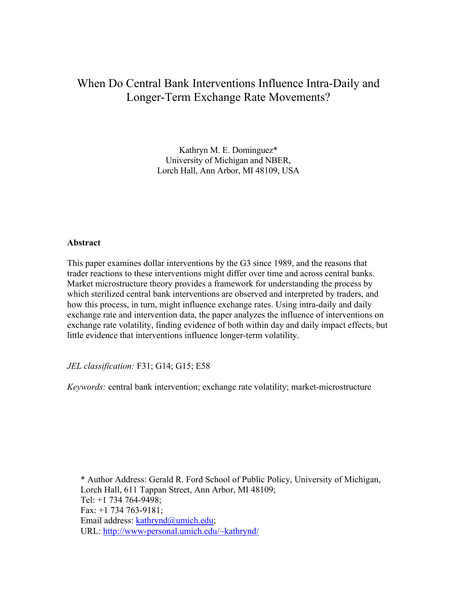# When Do Central Bank Interventions Influence Intra-Daily and Longer-Term Exchange Rate Movements?

Kathryn M. E. Dominguez\* University of Michigan and NBER, Lorch Hall, Ann Arbor, MI 48109, USA

## **Abstract**

This paper examines dollar interventions by the G3 since 1989, and the reasons that trader reactions to these interventions might differ over time and across central banks. Market microstructure theory provides a framework for understanding the process by which sterilized central bank interventions are observed and interpreted by traders, and how this process, in turn, might influence exchange rates. Using intra-daily and daily exchange rate and intervention data, the paper analyzes the influence of interventions on exchange rate volatility, finding evidence of both within day and daily impact effects, but little evidence that interventions influence longer-term volatility.

*JEL classification:* F31; G14; G15; E58

*Keywords:* central bank intervention; exchange rate volatility; market-microstructure

\* Author Address: Gerald R. Ford School of Public Policy, University of Michigan, Lorch Hall, 611 Tappan Street, Ann Arbor, MI 48109; Tel: +1 734 764-9498; Fax: +1 734 763-9181; Email address: [kathrynd@umich.edu](mailto:kathrynd@umich.edu); URL:<http://www-personal.umich.edu/~kathrynd/>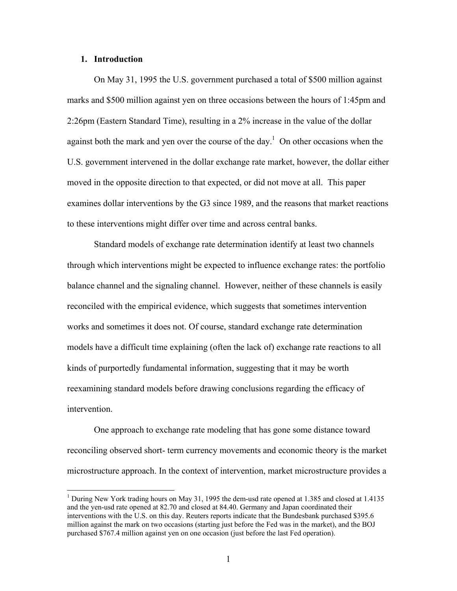#### **1. Introduction**

 $\overline{a}$ 

On May 31, 1995 the U.S. government purchased a total of \$500 million against marks and \$500 million against yen on three occasions between the hours of 1:45pm and 2:26pm (Eastern Standard Time), resulting in a 2% increase in the value of the dollar against both the mark and yen over the course of the day.<sup>[1](#page-1-0)</sup> On other occasions when the U.S. government intervened in the dollar exchange rate market, however, the dollar either moved in the opposite direction to that expected, or did not move at all. This paper examines dollar interventions by the G3 since 1989, and the reasons that market reactions to these interventions might differ over time and across central banks.

Standard models of exchange rate determination identify at least two channels through which interventions might be expected to influence exchange rates: the portfolio balance channel and the signaling channel. However, neither of these channels is easily reconciled with the empirical evidence, which suggests that sometimes intervention works and sometimes it does not. Of course, standard exchange rate determination models have a difficult time explaining (often the lack of) exchange rate reactions to all kinds of purportedly fundamental information, suggesting that it may be worth reexamining standard models before drawing conclusions regarding the efficacy of intervention.

One approach to exchange rate modeling that has gone some distance toward reconciling observed short- term currency movements and economic theory is the market microstructure approach. In the context of intervention, market microstructure provides a

<span id="page-1-0"></span><sup>&</sup>lt;sup>1</sup> During New York trading hours on May 31, 1995 the dem-usd rate opened at 1.385 and closed at 1.4135 and the yen-usd rate opened at 82.70 and closed at 84.40. Germany and Japan coordinated their interventions with the U.S. on this day. Reuters reports indicate that the Bundesbank purchased \$395.6 million against the mark on two occasions (starting just before the Fed was in the market), and the BOJ purchased \$767.4 million against yen on one occasion (just before the last Fed operation).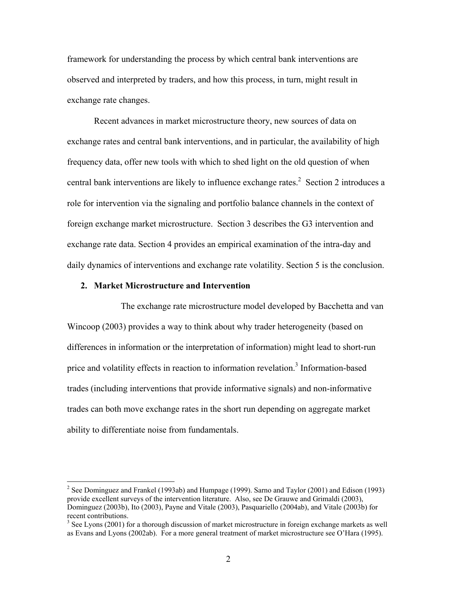framework for understanding the process by which central bank interventions are observed and interpreted by traders, and how this process, in turn, might result in exchange rate changes.

Recent advances in market microstructure theory, new sources of data on exchange rates and central bank interventions, and in particular, the availability of high frequency data, offer new tools with which to shed light on the old question of when central bank interventions are likely to influence exchange rates.<sup>[2](#page-2-0)</sup> Section 2 introduces a role for intervention via the signaling and portfolio balance channels in the context of foreign exchange market microstructure. Section 3 describes the G3 intervention and exchange rate data. Section 4 provides an empirical examination of the intra-day and daily dynamics of interventions and exchange rate volatility. Section 5 is the conclusion.

## **2. Market Microstructure and Intervention**

 $\overline{a}$ 

The exchange rate microstructure model developed by Bacchetta and van Wincoop (2003) provides a way to think about why trader heterogeneity (based on differences in information or the interpretation of information) might lead to short-run price and volatility effects in reaction to information revelation.<sup>[3](#page-2-1)</sup> Information-based trades (including interventions that provide informative signals) and non-informative trades can both move exchange rates in the short run depending on aggregate market ability to differentiate noise from fundamentals.

<span id="page-2-0"></span><sup>&</sup>lt;sup>2</sup> See Dominguez and Frankel (1993ab) and Humpage (1999). Sarno and Taylor (2001) and Edison (1993) provide excellent surveys of the intervention literature. Also, see De Grauwe and Grimaldi (2003), Dominguez (2003b), Ito (2003), Payne and Vitale (2003), Pasquariello (2004ab), and Vitale (2003b) for recent contributions.

<span id="page-2-1"></span><sup>&</sup>lt;sup>3</sup> See Lyons (2001) for a thorough discussion of market microstructure in foreign exchange markets as well as Evans and Lyons (2002ab). For a more general treatment of market microstructure see O'Hara (1995).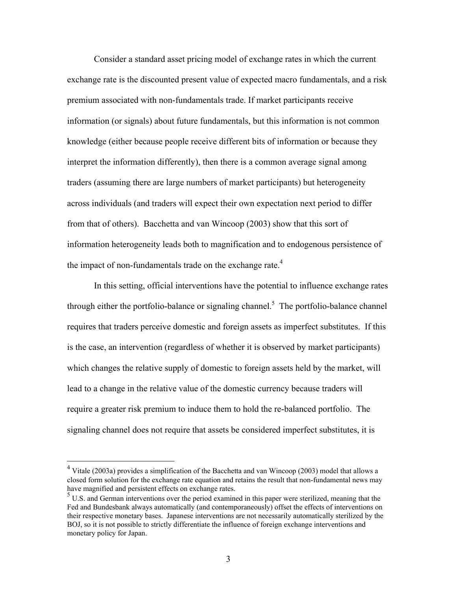Consider a standard asset pricing model of exchange rates in which the current exchange rate is the discounted present value of expected macro fundamentals, and a risk premium associated with non-fundamentals trade. If market participants receive information (or signals) about future fundamentals, but this information is not common knowledge (either because people receive different bits of information or because they interpret the information differently), then there is a common average signal among traders (assuming there are large numbers of market participants) but heterogeneity across individuals (and traders will expect their own expectation next period to differ from that of others). Bacchetta and van Wincoop (2003) show that this sort of information heterogeneity leads both to magnification and to endogenous persistence of the impact of non-fundamentals trade on the exchange rate.<sup>4</sup>

In this setting, official interventions have the potential to influence exchange rates through either the portfolio-balance or signaling channel.<sup>[5](#page-3-1)</sup> The portfolio-balance channel requires that traders perceive domestic and foreign assets as imperfect substitutes. If this is the case, an intervention (regardless of whether it is observed by market participants) which changes the relative supply of domestic to foreign assets held by the market, will lead to a change in the relative value of the domestic currency because traders will require a greater risk premium to induce them to hold the re-balanced portfolio. The signaling channel does not require that assets be considered imperfect substitutes, it is

 $\overline{a}$ 

<span id="page-3-0"></span><sup>&</sup>lt;sup>4</sup> Vitale (2003a) provides a simplification of the Bacchetta and van Wincoop (2003) model that allows a closed form solution for the exchange rate equation and retains the result that non-fundamental news may have magnified and persistent effects on exchange rates.

<span id="page-3-1"></span><sup>&</sup>lt;sup>5</sup> U.S. and German interventions over the period examined in this paper were sterilized, meaning that the Fed and Bundesbank always automatically (and contemporaneously) offset the effects of interventions on their respective monetary bases. Japanese interventions are not necessarily automatically sterilized by the BOJ, so it is not possible to strictly differentiate the influence of foreign exchange interventions and monetary policy for Japan.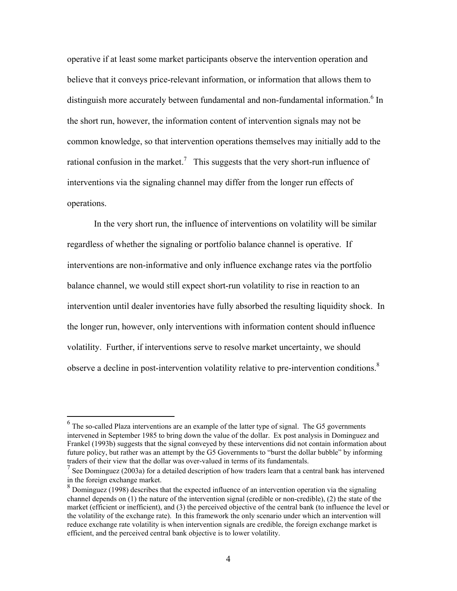operative if at least some market participants observe the intervention operation and believe that it conveys price-relevant information, or information that allows them to distinguish more accurately between fundamental and non-fundamental information.<sup>[6](#page-4-0)</sup> In the short run, however, the information content of intervention signals may not be common knowledge, so that intervention operations themselves may initially add to the rational confusion in the market.<sup>7</sup> This suggests that the very short-run influence of interventions via the signaling channel may differ from the longer run effects of operations.

In the very short run, the influence of interventions on volatility will be similar regardless of whether the signaling or portfolio balance channel is operative. If interventions are non-informative and only influence exchange rates via the portfolio balance channel, we would still expect short-run volatility to rise in reaction to an intervention until dealer inventories have fully absorbed the resulting liquidity shock. In the longer run, however, only interventions with information content should influence volatility. Further, if interventions serve to resolve market uncertainty, we should observe a decline in post-intervention volatility relative to pre-intervention conditions.<sup>[8](#page-4-2)</sup>

1

<span id="page-4-0"></span> $<sup>6</sup>$  The so-called Plaza interventions are an example of the latter type of signal. The G5 governments</sup> intervened in September 1985 to bring down the value of the dollar. Ex post analysis in Dominguez and Frankel (1993b) suggests that the signal conveyed by these interventions did not contain information about future policy, but rather was an attempt by the G5 Governments to "burst the dollar bubble" by informing traders of their view that the dollar was over-valued in terms of its fundamentals.

<span id="page-4-1"></span><sup>&</sup>lt;sup>7</sup> See Dominguez (2003a) for a detailed description of how traders learn that a central bank has intervened in the foreign exchange market.

<span id="page-4-2"></span><sup>&</sup>lt;sup>8</sup> Dominguez (1998) describes that the expected influence of an intervention operation via the signaling channel depends on (1) the nature of the intervention signal (credible or non-credible), (2) the state of the market (efficient or inefficient), and (3) the perceived objective of the central bank (to influence the level or the volatility of the exchange rate). In this framework the only scenario under which an intervention will reduce exchange rate volatility is when intervention signals are credible, the foreign exchange market is efficient, and the perceived central bank objective is to lower volatility.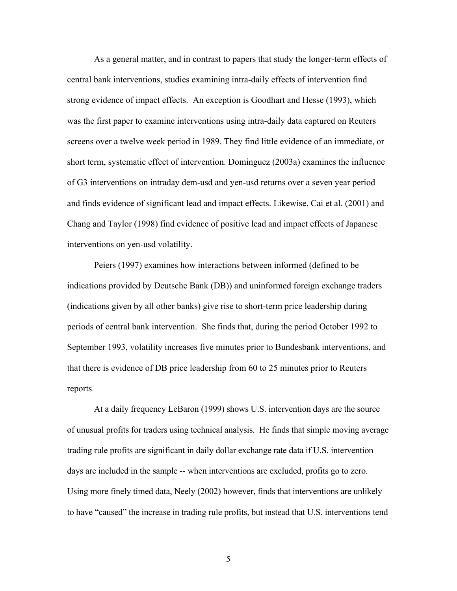As a general matter, and in contrast to papers that study the longer-term effects of central bank interventions, studies examining intra-daily effects of intervention find strong evidence of impact effects. An exception is Goodhart and Hesse (1993), which was the first paper to examine interventions using intra-daily data captured on Reuters screens over a twelve week period in 1989. They find little evidence of an immediate, or short term, systematic effect of intervention. Dominguez (2003a) examines the influence of G3 interventions on intraday dem-usd and yen-usd returns over a seven year period and finds evidence of significant lead and impact effects. Likewise, Cai et al. (2001) and Chang and Taylor (1998) find evidence of positive lead and impact effects of Japanese interventions on yen-usd volatility.

Peiers (1997) examines how interactions between informed (defined to be indications provided by Deutsche Bank (DB)) and uninformed foreign exchange traders (indications given by all other banks) give rise to short-term price leadership during periods of central bank intervention. She finds that, during the period October 1992 to September 1993, volatility increases five minutes prior to Bundesbank interventions, and that there is evidence of DB price leadership from 60 to 25 minutes prior to Reuters reports.

At a daily frequency LeBaron (1999) shows U.S. intervention days are the source of unusual profits for traders using technical analysis. He finds that simple moving average trading rule profits are significant in daily dollar exchange rate data if U.S. intervention days are included in the sample -- when interventions are excluded, profits go to zero. Using more finely timed data, Neely (2002) however, finds that interventions are unlikely to have "caused" the increase in trading rule profits, but instead that U.S. interventions tend

5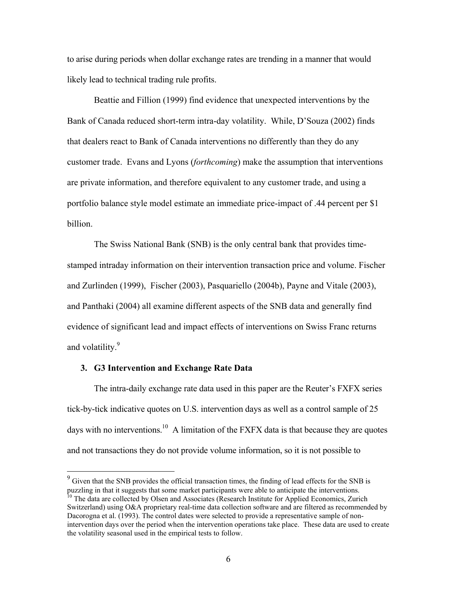to arise during periods when dollar exchange rates are trending in a manner that would likely lead to technical trading rule profits.

Beattie and Fillion (1999) find evidence that unexpected interventions by the Bank of Canada reduced short-term intra-day volatility. While, D'Souza (2002) finds that dealers react to Bank of Canada interventions no differently than they do any customer trade. Evans and Lyons (*forthcoming*) make the assumption that interventions are private information, and therefore equivalent to any customer trade, and using a portfolio balance style model estimate an immediate price-impact of .44 percent per \$1 billion.

The Swiss National Bank (SNB) is the only central bank that provides timestamped intraday information on their intervention transaction price and volume. Fischer and Zurlinden (1999), Fischer (2003), Pasquariello (2004b), Payne and Vitale (2003), and Panthaki (2004) all examine different aspects of the SNB data and generally find evidence of significant lead and impact effects of interventions on Swiss Franc returns and volatility.<sup>[9](#page-6-0)</sup>

## **3. G3 Intervention and Exchange Rate Data**

<u>.</u>

The intra-daily exchange rate data used in this paper are the Reuter's FXFX series tick-by-tick indicative quotes on U.S. intervention days as well as a control sample of 25 days with no interventions.<sup>10</sup> A limitation of the FXFX data is that because they are quotes and not transactions they do not provide volume information, so it is not possible to

<span id="page-6-0"></span> $9^9$  Given that the SNB provides the official transaction times, the finding of lead effects for the SNB is puzzling in that it suggests that some market participants were able to anticipate the interventions.<br><sup>10</sup> The data are collected by Olsen and Associates (Research Institute for Applied Economics, Zurich

<span id="page-6-1"></span>Switzerland) using O&A proprietary real-time data collection software and are filtered as recommended by Dacorogna et al. (1993). The control dates were selected to provide a representative sample of nonintervention days over the period when the intervention operations take place. These data are used to create the volatility seasonal used in the empirical tests to follow.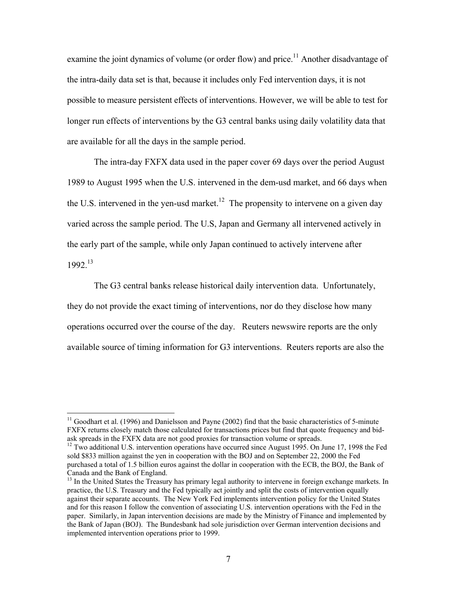examine the joint dynamics of volume (or order flow) and price.<sup>11</sup> Another disadvantage of the intra-daily data set is that, because it includes only Fed intervention days, it is not possible to measure persistent effects of interventions. However, we will be able to test for longer run effects of interventions by the G3 central banks using daily volatility data that are available for all the days in the sample period.

The intra-day FXFX data used in the paper cover 69 days over the period August 1989 to August 1995 when the U.S. intervened in the dem-usd market, and 66 days when the U.S. intervened in the yen-usd market.<sup>12</sup> The propensity to intervene on a given day varied across the sample period. The U.S, Japan and Germany all intervened actively in the early part of the sample, while only Japan continued to actively intervene after 1992.[13](#page-7-2) 

The G3 central banks release historical daily intervention data. Unfortunately, they do not provide the exact timing of interventions, nor do they disclose how many operations occurred over the course of the day. Reuters newswire reports are the only available source of timing information for G3 interventions. Reuters reports are also the

 $\overline{a}$ 

<span id="page-7-0"></span> $11$  Goodhart et al. (1996) and Danielsson and Payne (2002) find that the basic characteristics of 5-minute FXFX returns closely match those calculated for transactions prices but find that quote frequency and bid-<br>ask spreads in the FXFX data are not good proxies for transaction volume or spreads.

<span id="page-7-1"></span><sup>&</sup>lt;sup>12</sup> Two additional U.S. intervention operations have occurred since August 1995. On June 17, 1998 the Fed sold \$833 million against the yen in cooperation with the BOJ and on September 22, 2000 the Fed purchased a total of 1.5 billion euros against the dollar in cooperation with the ECB, the BOJ, the Bank of Canada and the Bank of England.<br><sup>13</sup> In the United States the Treasury has primary legal authority to intervene in foreign exchange markets. In

<span id="page-7-2"></span>practice, the U.S. Treasury and the Fed typically act jointly and split the costs of intervention equally against their separate accounts. The New York Fed implements intervention policy for the United States and for this reason I follow the convention of associating U.S. intervention operations with the Fed in the paper. Similarly, in Japan intervention decisions are made by the Ministry of Finance and implemented by the Bank of Japan (BOJ). The Bundesbank had sole jurisdiction over German intervention decisions and implemented intervention operations prior to 1999.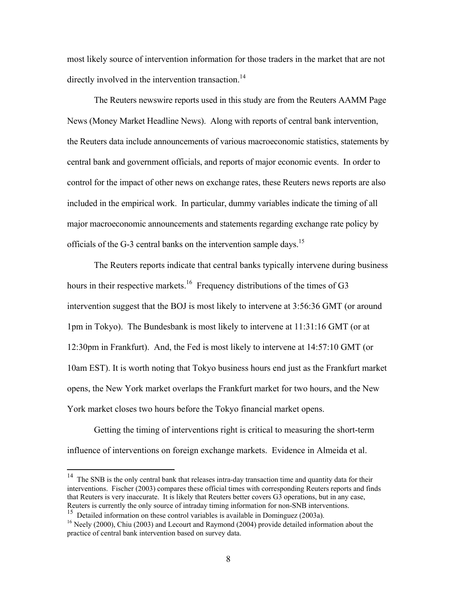most likely source of intervention information for those traders in the market that are not directly involved in the intervention transaction.<sup>[14](#page-8-0)</sup>

The Reuters newswire reports used in this study are from the Reuters AAMM Page News (Money Market Headline News). Along with reports of central bank intervention, the Reuters data include announcements of various macroeconomic statistics, statements by central bank and government officials, and reports of major economic events. In order to control for the impact of other news on exchange rates, these Reuters news reports are also included in the empirical work. In particular, dummy variables indicate the timing of all major macroeconomic announcements and statements regarding exchange rate policy by officials of the G-3 central banks on the intervention sample days.<sup>[15](#page-8-1)</sup>

The Reuters reports indicate that central banks typically intervene during business hours in their respective markets.<sup>16</sup> Frequency distributions of the times of G3 intervention suggest that the BOJ is most likely to intervene at 3:56:36 GMT (or around 1pm in Tokyo). The Bundesbank is most likely to intervene at 11:31:16 GMT (or at 12:30pm in Frankfurt). And, the Fed is most likely to intervene at 14:57:10 GMT (or 10am EST). It is worth noting that Tokyo business hours end just as the Frankfurt market opens, the New York market overlaps the Frankfurt market for two hours, and the New York market closes two hours before the Tokyo financial market opens.

Getting the timing of interventions right is critical to measuring the short-term influence of interventions on foreign exchange markets. Evidence in Almeida et al.

<u>.</u>

<span id="page-8-0"></span> $14$  The SNB is the only central bank that releases intra-day transaction time and quantity data for their interventions. Fischer (2003) compares these official times with corresponding Reuters reports and finds that Reuters is very inaccurate. It is likely that Reuters better covers G3 operations, but in any case, Reuters is currently the only source of intraday timing information for non-SNB interventions.

<span id="page-8-1"></span><sup>&</sup>lt;sup>15</sup> Detailed information on these control variables is available in Dominguez (2003a).<br><sup>16</sup> Neely (2000), Chiu (2003) and Lecourt and Raymond (2004) provide detailed information about the

<span id="page-8-2"></span>practice of central bank intervention based on survey data.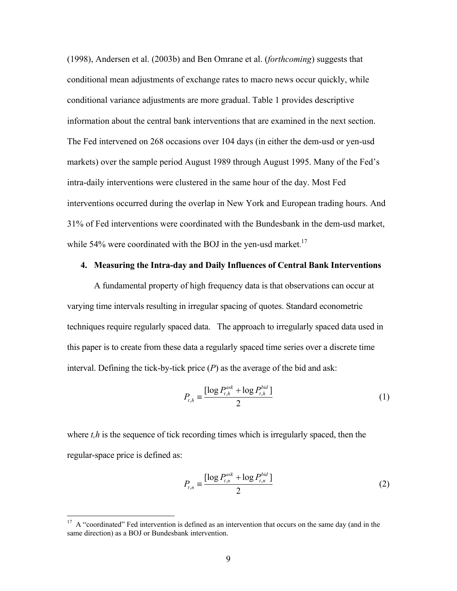(1998), Andersen et al. (2003b) and Ben Omrane et al. (*forthcoming*) suggests that conditional mean adjustments of exchange rates to macro news occur quickly, while conditional variance adjustments are more gradual. Table 1 provides descriptive information about the central bank interventions that are examined in the next section. The Fed intervened on 268 occasions over 104 days (in either the dem-usd or yen-usd markets) over the sample period August 1989 through August 1995. Many of the Fed's intra-daily interventions were clustered in the same hour of the day. Most Fed interventions occurred during the overlap in New York and European trading hours. And 31% of Fed interventions were coordinated with the Bundesbank in the dem-usd market, while 54% were coordinated with the BOJ in the yen-usd market.<sup>[17](#page-9-0)</sup>

## **4. Measuring the Intra-day and Daily Influences of Central Bank Interventions**

A fundamental property of high frequency data is that observations can occur at varying time intervals resulting in irregular spacing of quotes. Standard econometric techniques require regularly spaced data. The approach to irregularly spaced data used in this paper is to create from these data a regularly spaced time series over a discrete time interval. Defining the tick-by-tick price (*P*) as the average of the bid and ask:

$$
P_{t,h} = \frac{\left[\log P_{t,h}^{ask} + \log P_{t,h}^{bid}\right]}{2}
$$
 (1)

where *t*,*h* is the sequence of tick recording times which is irregularly spaced, then the regular-space price is defined as:

$$
P_{t,n} = \frac{\left[\log P_{t,n}^{ask} + \log P_{t,n}^{bid}\right]}{2}
$$
 (2)

 $\overline{a}$ 

<span id="page-9-0"></span> $17$  A "coordinated" Fed intervention is defined as an intervention that occurs on the same day (and in the same direction) as a BOJ or Bundesbank intervention.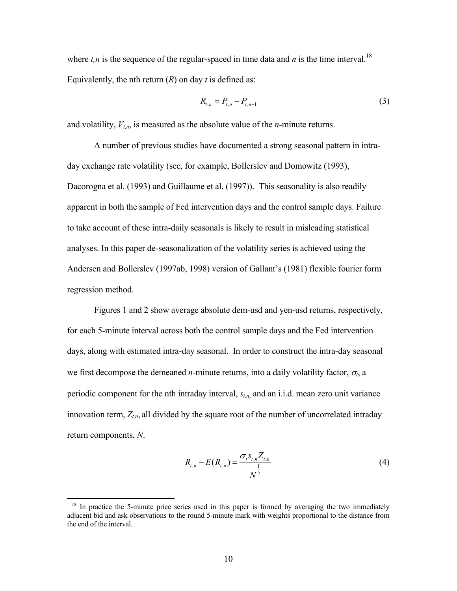where  $t, n$  is the sequence of the regular-spaced in time data and  $n$  is the time interval.<sup>18</sup> Equivalently, the nth return (*R*) on day *t* is defined as:

$$
R_{t,n} = P_{t,n} - P_{t,n-1} \tag{3}
$$

and volatility,  $V_{tn}$ , is measured as the absolute value of the *n*-minute returns.

A number of previous studies have documented a strong seasonal pattern in intraday exchange rate volatility (see, for example, Bollerslev and Domowitz (1993), Dacorogna et al. (1993) and Guillaume et al. (1997)). This seasonality is also readily apparent in both the sample of Fed intervention days and the control sample days. Failure to take account of these intra-daily seasonals is likely to result in misleading statistical analyses. In this paper de-seasonalization of the volatility series is achieved using the Andersen and Bollerslev (1997ab, 1998) version of Gallant's (1981) flexible fourier form regression method.

Figures 1 and 2 show average absolute dem-usd and yen-usd returns, respectively, for each 5-minute interval across both the control sample days and the Fed intervention days, along with estimated intra-day seasonal. In order to construct the intra-day seasonal we first decompose the demeaned *n*-minute returns, into a daily volatility factor,  $\sigma_t$ , a periodic component for the nth intraday interval, *st,n*, and an i.i.d. mean zero unit variance innovation term,  $Z_{t,n}$ , all divided by the square root of the number of uncorrelated intraday return components, *N*.

$$
R_{t,n} - E(R_{t,n}) = \frac{\sigma_t s_{t,n} Z_{t,n}}{N^{\frac{1}{2}}}
$$
\n(4)

1

<span id="page-10-0"></span><sup>&</sup>lt;sup>18</sup> In practice the 5-minute price series used in this paper is formed by averaging the two immediately adjacent bid and ask observations to the round 5-minute mark with weights proportional to the distance from the end of the interval.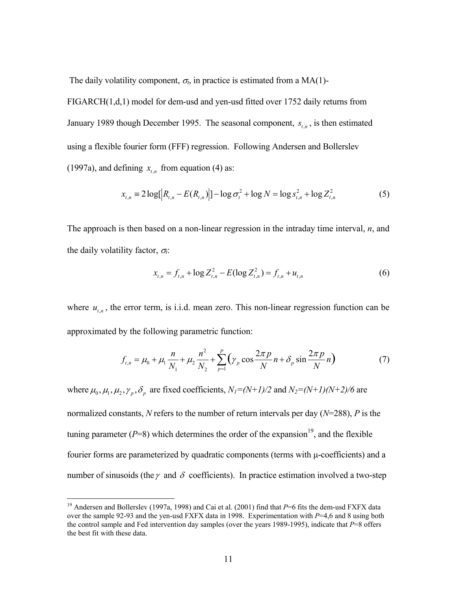The daily volatility component,  $\sigma_t$ , in practice is estimated from a MA(1)-

FIGARCH(1,d,1) model for dem-usd and yen-usd fitted over 1752 daily returns from January 1989 though December 1995. The seasonal component,  $s_{t,n}$ , is then estimated using a flexible fourier form (FFF) regression. Following Andersen and Bollerslev (1997a), and defining  $x_{t,n}$  from equation (4) as:

$$
x_{t,n} = 2\log[|R_{t,n} - E(R_{t,n})|] - \log \sigma_t^2 + \log N = \log s_{t,n}^2 + \log Z_{t,n}^2
$$
 (5)

The approach is then based on a non-linear regression in the intraday time interval, *n*, and the daily volatility factor,  $\sigma_t$ :

$$
x_{t,n} = f_{t,n} + \log Z_{t,n}^2 - E(\log Z_{t,n}^2) = f_{t,n} + u_{t,n}
$$
\n(6)

where  $u_{t,n}$ , the error term, is i.i.d. mean zero. This non-linear regression function can be approximated by the following parametric function:

$$
f_{t,n} = \mu_0 + \mu_1 \frac{n}{N_1} + \mu_2 \frac{n^2}{N_2} + \sum_{p=1}^P \left( \gamma_p \cos \frac{2\pi p}{N} n + \delta_p \sin \frac{2\pi p}{N} n \right)
$$
(7)

where  $\mu_0$ ,  $\mu_1$ ,  $\mu_2$ ,  $\gamma_p$ ,  $\delta_p$  are fixed coefficients,  $N_I=(N+I)/2$  and  $N_2=(N+I)(N+2)/6$  are normalized constants, *N* refers to the number of return intervals per day (*N*=288), *P* is the tuning parameter  $(P=8)$  which determines the order of the expansion<sup>19</sup>, and the flexible fourier forms are parameterized by quadratic components (terms with  $\mu$ -coefficients) and a number of sinusoids (the  $\gamma$  and  $\delta$  coefficients). In practice estimation involved a two-step

<span id="page-11-0"></span><sup>&</sup>lt;sup>19</sup> Andersen and Bollerslev (1997a, 1998) and Cai et al. (2001) find that *P*=6 fits the dem-usd FXFX data over the sample 92-93 and the yen-usd FXFX data in 1998. Experimentation with *P*=4,6 and 8 using both the control sample and Fed intervention day samples (over the years 1989-1995), indicate that *P*=8 offers the best fit with these data.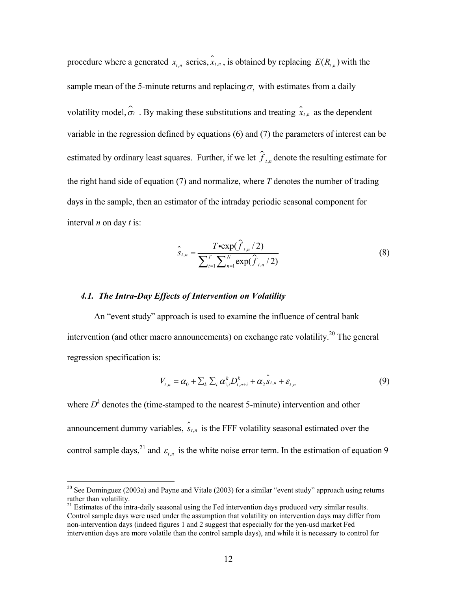procedure where a generated  $x_{t,n}$  series,  $\hat{x}_{t,n}$ , is obtained by replacing  $E(R_{t,n})$  with the sample mean of the 5-minute returns and replacing  $\sigma_t$  with estimates from a daily volatility model,  $\hat{\sigma}_t$ . By making these substitutions and treating  $\hat{x}_{t,n}$  as the dependent variable in the regression defined by equations (6) and (7) the parameters of interest can be estimated by ordinary least squares. Further, if we let  $\hat{f}_{t,n}$  denote the resulting estimate for the right hand side of equation (7) and normalize, where *T* denotes the number of trading days in the sample, then an estimator of the intraday periodic seasonal component for interval *n* on day *t* is:

$$
\hat{S}_{t,n} = \frac{T \cdot \exp(\hat{f}_{t,n}/2)}{\sum_{t=1}^{T} \sum_{n=1}^{N} \exp(\hat{f}_{t,n}/2)}
$$
(8)

## *4.1. The Intra-Day Effects of Intervention on Volatility*

An "event study" approach is used to examine the influence of central bank intervention (and other macro announcements) on exchange rate volatility.<sup>20</sup> The general regression specification is:

$$
V_{t,n} = \alpha_0 + \sum_{k} \sum_{i} \alpha_{1,i}^{k} D_{t,n+i}^{k} + \alpha_2 \hat{S}_{t,n} + \varepsilon_{t,n}
$$
(9)

control sample days,<sup>21</sup> and  $\varepsilon$ <sub>t,n</sub> is the white noise error term. In the estimation of equation 9 where  $D<sup>k</sup>$  denotes the (time-stamped to the nearest 5-minute) intervention and other announcement dummy variables,  $\hat{s}_{t,n}$  is the FFF volatility seasonal estimated over the

<span id="page-12-0"></span><sup>&</sup>lt;sup>20</sup> See Dominguez (2003a) and Payne and Vitale (2003) for a similar "event study" approach using returns rather than volatility.

<span id="page-12-1"></span> $21$  Estimates of the intra-daily seasonal using the Fed intervention days produced very similar results. Control sample days were used under the assumption that volatility on intervention days may differ from non-intervention days (indeed figures 1 and 2 suggest that especially for the yen-usd market Fed intervention days are more volatile than the control sample days), and while it is necessary to control for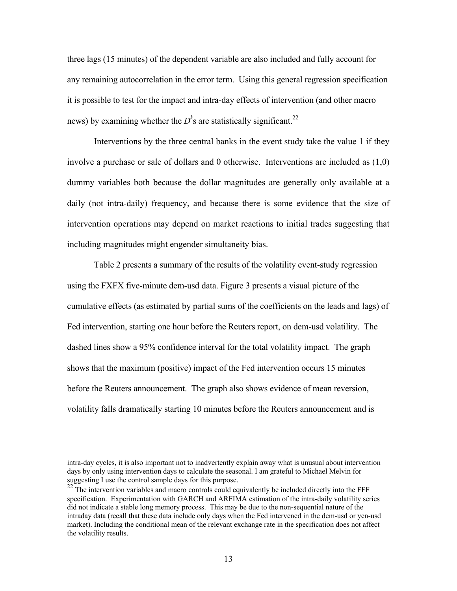three lags (15 minutes) of the dependent variable are also included and fully account for any remaining autocorrelation in the error term. Using this general regression specification it is possible to test for the impact and intra-day effects of intervention (and other macro news) by examining whether the  $D<sup>k</sup>$ s are statistically significant.<sup>22</sup>

Interventions by the three central banks in the event study take the value 1 if they involve a purchase or sale of dollars and 0 otherwise. Interventions are included as (1,0) dummy variables both because the dollar magnitudes are generally only available at a daily (not intra-daily) frequency, and because there is some evidence that the size of intervention operations may depend on market reactions to initial trades suggesting that including magnitudes might engender simultaneity bias.

Table 2 presents a summary of the results of the volatility event-study regression using the FXFX five-minute dem-usd data. Figure 3 presents a visual picture of the cumulative effects (as estimated by partial sums of the coefficients on the leads and lags) of Fed intervention, starting one hour before the Reuters report, on dem-usd volatility. The dashed lines show a 95% confidence interval for the total volatility impact. The graph shows that the maximum (positive) impact of the Fed intervention occurs 15 minutes before the Reuters announcement. The graph also shows evidence of mean reversion, volatility falls dramatically starting 10 minutes before the Reuters announcement and is

intra-day cycles, it is also important not to inadvertently explain away what is unusual about intervention days by only using intervention days to calculate the seasonal. I am grateful to Michael Melvin for suggesting I use the control sample days for this purpose.

<span id="page-13-0"></span>The intervention variables and macro controls could equivalently be included directly into the FFF specification. Experimentation with GARCH and ARFIMA estimation of the intra-daily volatility series did not indicate a stable long memory process. This may be due to the non-sequential nature of the intraday data (recall that these data include only days when the Fed intervened in the dem-usd or yen-usd market). Including the conditional mean of the relevant exchange rate in the specification does not affect the volatility results.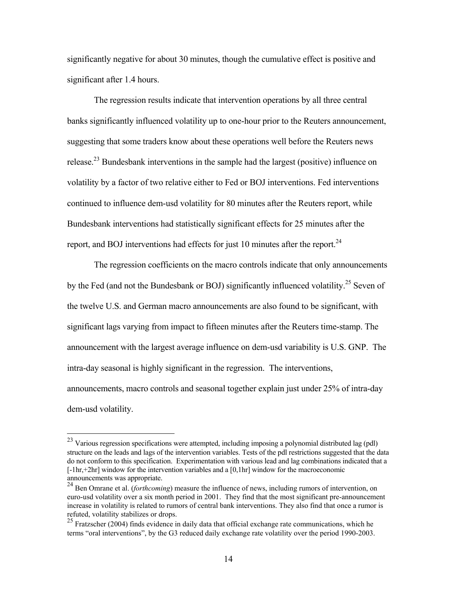significantly negative for about 30 minutes, though the cumulative effect is positive and significant after 1.4 hours.

The regression results indicate that intervention operations by all three central banks significantly influenced volatility up to one-hour prior to the Reuters announcement, suggesting that some traders know about these operations well before the Reuters news release[.23](#page-14-0) Bundesbank interventions in the sample had the largest (positive) influence on volatility by a factor of two relative either to Fed or BOJ interventions. Fed interventions continued to influence dem-usd volatility for 80 minutes after the Reuters report, while Bundesbank interventions had statistically significant effects for 25 minutes after the report, and BOJ interventions had effects for just 10 minutes after the report. $^{24}$ 

The regression coefficients on the macro controls indicate that only announcements by the Fed (and not the Bundesbank or BOJ) significantly influenced volatility.<sup>25</sup> Seven of the twelve U.S. and German macro announcements are also found to be significant, with significant lags varying from impact to fifteen minutes after the Reuters time-stamp. The announcement with the largest average influence on dem-usd variability is U.S. GNP. The intra-day seasonal is highly significant in the regression. The interventions, announcements, macro controls and seasonal together explain just under 25% of intra-day dem-usd volatility.

<span id="page-14-0"></span><sup>&</sup>lt;sup>23</sup> Various regression specifications were attempted, including imposing a polynomial distributed lag (pdl) structure on the leads and lags of the intervention variables. Tests of the pdl restrictions suggested that the data do not conform to this specification. Experimentation with various lead and lag combinations indicated that a [-1hr,+2hr] window for the intervention variables and a [0,1hr] window for the macroeconomic announcements was appropriate.<br><sup>24</sup> Ben Omrane et al. (*forthcoming*) measure the influence of news, including rumors of intervention, on

<span id="page-14-1"></span>euro-usd volatility over a six month period in 2001. They find that the most significant pre-announcement increase in volatility is related to rumors of central bank interventions. They also find that once a rumor is refuted, volatility stabilizes or drops.

<span id="page-14-2"></span> $^{25}$  Fratzscher (2004) finds evidence in daily data that official exchange rate communications, which he terms "oral interventions", by the G3 reduced daily exchange rate volatility over the period 1990-2003.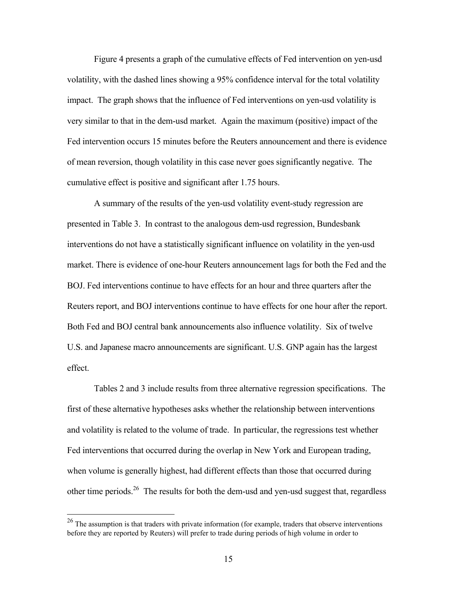Figure 4 presents a graph of the cumulative effects of Fed intervention on yen-usd volatility, with the dashed lines showing a 95% confidence interval for the total volatility impact. The graph shows that the influence of Fed interventions on yen-usd volatility is very similar to that in the dem-usd market. Again the maximum (positive) impact of the Fed intervention occurs 15 minutes before the Reuters announcement and there is evidence of mean reversion, though volatility in this case never goes significantly negative. The cumulative effect is positive and significant after 1.75 hours.

A summary of the results of the yen-usd volatility event-study regression are presented in Table 3. In contrast to the analogous dem-usd regression, Bundesbank interventions do not have a statistically significant influence on volatility in the yen-usd market. There is evidence of one-hour Reuters announcement lags for both the Fed and the BOJ. Fed interventions continue to have effects for an hour and three quarters after the Reuters report, and BOJ interventions continue to have effects for one hour after the report. Both Fed and BOJ central bank announcements also influence volatility. Six of twelve U.S. and Japanese macro announcements are significant. U.S. GNP again has the largest effect.

Tables 2 and 3 include results from three alternative regression specifications. The first of these alternative hypotheses asks whether the relationship between interventions and volatility is related to the volume of trade. In particular, the regressions test whether Fed interventions that occurred during the overlap in New York and European trading, when volume is generally highest, had different effects than those that occurred during other time periods.<sup>26</sup> The results for both the dem-usd and yen-usd suggest that, regardless

<span id="page-15-0"></span><sup>&</sup>lt;sup>26</sup> The assumption is that traders with private information (for example, traders that observe interventions before they are reported by Reuters) will prefer to trade during periods of high volume in order to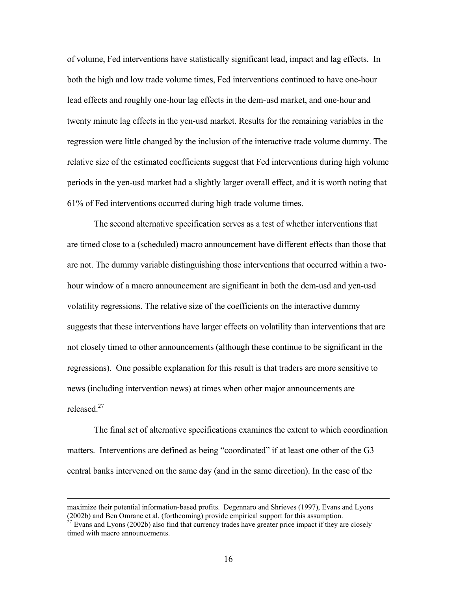of volume, Fed interventions have statistically significant lead, impact and lag effects. In both the high and low trade volume times, Fed interventions continued to have one-hour lead effects and roughly one-hour lag effects in the dem-usd market, and one-hour and twenty minute lag effects in the yen-usd market. Results for the remaining variables in the regression were little changed by the inclusion of the interactive trade volume dummy. The relative size of the estimated coefficients suggest that Fed interventions during high volume periods in the yen-usd market had a slightly larger overall effect, and it is worth noting that 61% of Fed interventions occurred during high trade volume times.

The second alternative specification serves as a test of whether interventions that are timed close to a (scheduled) macro announcement have different effects than those that are not. The dummy variable distinguishing those interventions that occurred within a twohour window of a macro announcement are significant in both the dem-usd and yen-usd volatility regressions. The relative size of the coefficients on the interactive dummy suggests that these interventions have larger effects on volatility than interventions that are not closely timed to other announcements (although these continue to be significant in the regressions). One possible explanation for this result is that traders are more sensitive to news (including intervention news) at times when other major announcements are released  $^{27}$ 

The final set of alternative specifications examines the extent to which coordination matters. Interventions are defined as being "coordinated" if at least one other of the G3 central banks intervened on the same day (and in the same direction). In the case of the

maximize their potential information-based profits. Degennaro and Shrieves (1997), Evans and Lyons (2002b) and Ben Omrane et al. (forthcoming) provide empirical support for this assumption.  $27$  Evans and Lyons (2002b) also find that currency trades have greater price impact if they are closely

<span id="page-16-0"></span>timed with macro announcements.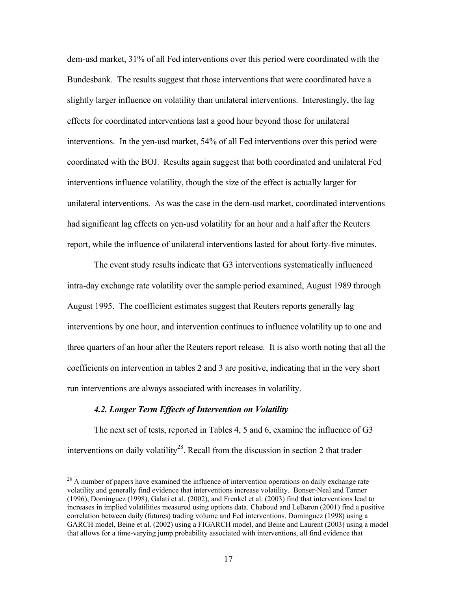dem-usd market, 31% of all Fed interventions over this period were coordinated with the Bundesbank. The results suggest that those interventions that were coordinated have a slightly larger influence on volatility than unilateral interventions. Interestingly, the lag effects for coordinated interventions last a good hour beyond those for unilateral interventions. In the yen-usd market, 54% of all Fed interventions over this period were coordinated with the BOJ. Results again suggest that both coordinated and unilateral Fed interventions influence volatility, though the size of the effect is actually larger for unilateral interventions. As was the case in the dem-usd market, coordinated interventions had significant lag effects on yen-usd volatility for an hour and a half after the Reuters report, while the influence of unilateral interventions lasted for about forty-five minutes.

The event study results indicate that G3 interventions systematically influenced intra-day exchange rate volatility over the sample period examined, August 1989 through August 1995. The coefficient estimates suggest that Reuters reports generally lag interventions by one hour, and intervention continues to influence volatility up to one and three quarters of an hour after the Reuters report release. It is also worth noting that all the coefficients on intervention in tables 2 and 3 are positive, indicating that in the very short run interventions are always associated with increases in volatility.

## *4.2. Longer Term Effects of Intervention on Volatility*

The next set of tests, reported in Tables 4, 5 and 6, examine the influence of G3 interventions on daily volatility<sup>28</sup>. Recall from the discussion in section 2 that trader

<span id="page-17-0"></span><sup>&</sup>lt;sup>28</sup> A number of papers have examined the influence of intervention operations on daily exchange rate volatility and generally find evidence that interventions increase volatility. Bonser-Neal and Tanner (1996), Dominguez (1998), Galati et al. (2002), and Frenkel et al. (2003) find that interventions lead to increases in implied volatilities measured using options data. Chaboud and LeBaron (2001) find a positive correlation between daily (futures) trading volume and Fed interventions. Dominguez (1998) using a GARCH model, Beine et al. (2002) using a FIGARCH model, and Beine and Laurent (2003) using a model that allows for a time-varying jump probability associated with interventions, all find evidence that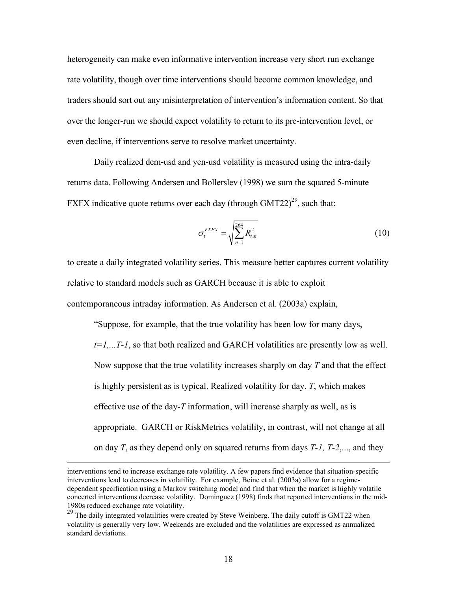heterogeneity can make even informative intervention increase very short run exchange rate volatility, though over time interventions should become common knowledge, and traders should sort out any misinterpretation of intervention's information content. So that over the longer-run we should expect volatility to return to its pre-intervention level, or even decline, if interventions serve to resolve market uncertainty.

Daily realized dem-usd and yen-usd volatility is measured using the intra-daily returns data. Following Andersen and Bollerslev (1998) we sum the squared 5-minute FXFX indicative quote returns over each day (through GMT22)<sup>29</sup>, such that:

$$
\sigma_t^{EXFX} = \sqrt{\sum_{n=1}^{264} R_{t,n}^2}
$$
 (10)

to create a daily integrated volatility series. This measure better captures current volatility relative to standard models such as GARCH because it is able to exploit contemporaneous intraday information. As Andersen et al. (2003a) explain,

"Suppose, for example, that the true volatility has been low for many days, *t=1,...T-1*, so that both realized and GARCH volatilities are presently low as well. Now suppose that the true volatility increases sharply on day *T* and that the effect is highly persistent as is typical. Realized volatility for day, *T*, which makes effective use of the day-*T* information, will increase sharply as well, as is appropriate. GARCH or RiskMetrics volatility, in contrast, will not change at all on day *T*, as they depend only on squared returns from days *T-1, T-2*,..., and they

interventions tend to increase exchange rate volatility. A few papers find evidence that situation-specific interventions lead to decreases in volatility. For example, Beine et al. (2003a) allow for a regimedependent specification using a Markov switching model and find that when the market is highly volatile concerted interventions decrease volatility. Dominguez (1998) finds that reported interventions in the mid-1980s reduced exchange rate volatility.

<span id="page-18-0"></span><sup>&</sup>lt;sup>29</sup> The daily integrated volatilities were created by Steve Weinberg. The daily cutoff is GMT22 when volatility is generally very low. Weekends are excluded and the volatilities are expressed as annualized standard deviations.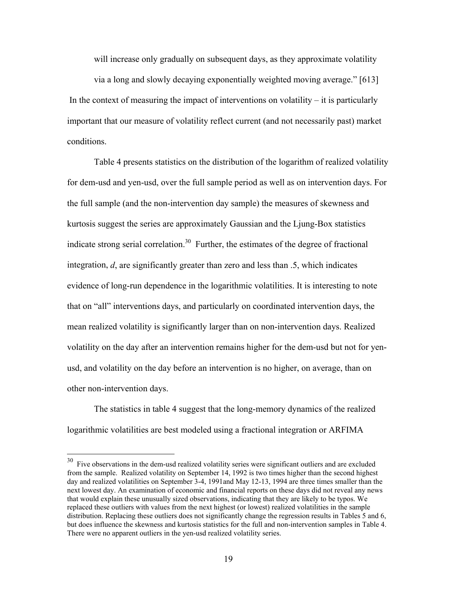will increase only gradually on subsequent days, as they approximate volatility

via a long and slowly decaying exponentially weighted moving average." [613] In the context of measuring the impact of interventions on volatility – it is particularly important that our measure of volatility reflect current (and not necessarily past) market conditions.

Table 4 presents statistics on the distribution of the logarithm of realized volatility for dem-usd and yen-usd, over the full sample period as well as on intervention days. For the full sample (and the non-intervention day sample) the measures of skewness and kurtosis suggest the series are approximately Gaussian and the Ljung-Box statistics indicate strong serial correlation.<sup>30</sup> Further, the estimates of the degree of fractional integration, *d*, are significantly greater than zero and less than .5, which indicates evidence of long-run dependence in the logarithmic volatilities. It is interesting to note that on "all" interventions days, and particularly on coordinated intervention days, the mean realized volatility is significantly larger than on non-intervention days. Realized volatility on the day after an intervention remains higher for the dem-usd but not for yenusd, and volatility on the day before an intervention is no higher, on average, than on other non-intervention days.

The statistics in table 4 suggest that the long-memory dynamics of the realized logarithmic volatilities are best modeled using a fractional integration or ARFIMA

<span id="page-19-0"></span><sup>&</sup>lt;sup>30</sup> Five observations in the dem-usd realized volatility series were significant outliers and are excluded from the sample. Realized volatility on September 14, 1992 is two times higher than the second highest day and realized volatilities on September 3-4, 1991and May 12-13, 1994 are three times smaller than the next lowest day. An examination of economic and financial reports on these days did not reveal any news that would explain these unusually sized observations, indicating that they are likely to be typos. We replaced these outliers with values from the next highest (or lowest) realized volatilities in the sample distribution. Replacing these outliers does not significantly change the regression results in Tables 5 and 6, but does influence the skewness and kurtosis statistics for the full and non-intervention samples in Table 4. There were no apparent outliers in the yen-usd realized volatility series.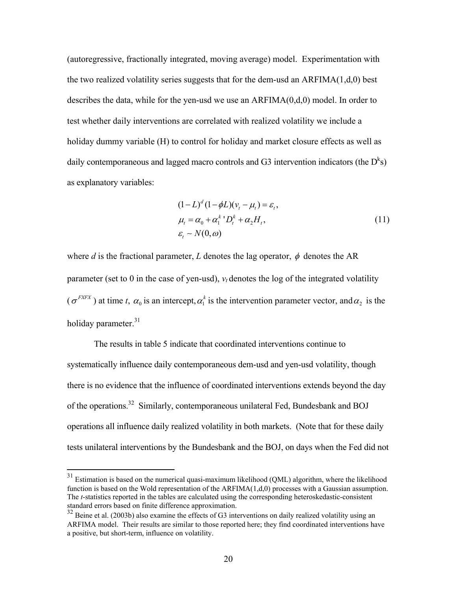(autoregressive, fractionally integrated, moving average) model. Experimentation with the two realized volatility series suggests that for the dem-usd an ARFIMA(1,d,0) best describes the data, while for the yen-usd we use an  $ARFIMA(0,d,0)$  model. In order to test whether daily interventions are correlated with realized volatility we include a holiday dummy variable (H) to control for holiday and market closure effects as well as daily contemporaneous and lagged macro controls and G3 intervention indicators (the  $D^k$ s) as explanatory variables:

$$
(1 - L)^{d} (1 - \phi L)(v_t - \mu_t) = \varepsilon_t,
$$
  
\n
$$
\mu_t = \alpha_0 + \alpha_1^{k} D_t^{k} + \alpha_2 H_t,
$$
  
\n
$$
\varepsilon_t \sim N(0, \omega)
$$
\n(11)

where *d* is the fractional parameter, *L* denotes the lag operator,  $\phi$  denotes the AR parameter (set to 0 in the case of yen-usd),  $v_t$  denotes the log of the integrated volatility  $(\sigma^{EXFX})$  at time *t*,  $\alpha_0$  is an intercept,  $\alpha_1^k$  is the intervention parameter vector, and  $\alpha_2$  is the holiday parameter.<sup>31</sup>

The results in table 5 indicate that coordinated interventions continue to systematically influence daily contemporaneous dem-usd and yen-usd volatility, though there is no evidence that the influence of coordinated interventions extends beyond the day of the operations.[32](#page-20-1) Similarly, contemporaneous unilateral Fed, Bundesbank and BOJ operations all influence daily realized volatility in both markets. (Note that for these daily tests unilateral interventions by the Bundesbank and the BOJ, on days when the Fed did not

<span id="page-20-0"></span><sup>&</sup>lt;sup>31</sup> Estimation is based on the numerical quasi-maximum likelihood (QML) algorithm, where the likelihood function is based on the Wold representation of the  $ARFIMA(1,d,0)$  processes with a Gaussian assumption. The *t*-statistics reported in the tables are calculated using the corresponding heteroskedastic-consistent standard errors based on finite difference approximation.

<span id="page-20-1"></span> $32$  Beine et al. (2003b) also examine the effects of G3 interventions on daily realized volatility using an ARFIMA model. Their results are similar to those reported here; they find coordinated interventions have a positive, but short-term, influence on volatility.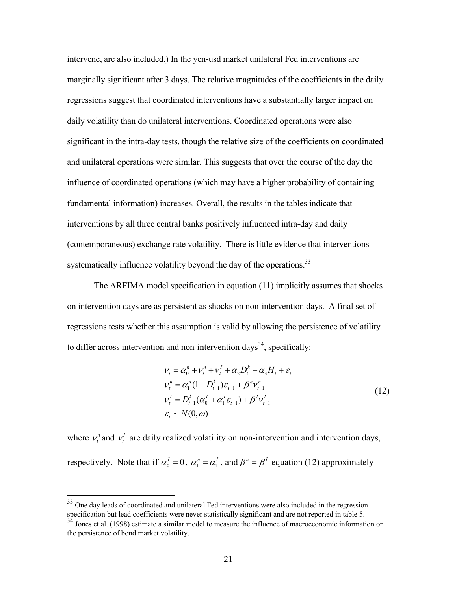intervene, are also included.) In the yen-usd market unilateral Fed interventions are marginally significant after 3 days. The relative magnitudes of the coefficients in the daily regressions suggest that coordinated interventions have a substantially larger impact on daily volatility than do unilateral interventions. Coordinated operations were also significant in the intra-day tests, though the relative size of the coefficients on coordinated and unilateral operations were similar. This suggests that over the course of the day the influence of coordinated operations (which may have a higher probability of containing fundamental information) increases. Overall, the results in the tables indicate that interventions by all three central banks positively influenced intra-day and daily (contemporaneous) exchange rate volatility. There is little evidence that interventions systematically influence volatility beyond the day of the operations.<sup>[33](#page-21-0)</sup>

The ARFIMA model specification in equation (11) implicitly assumes that shocks on intervention days are as persistent as shocks on non-intervention days. A final set of regressions tests whether this assumption is valid by allowing the persistence of volatility to differ across intervention and non-intervention days<sup>34</sup>, specifically:

$$
\nu_{t} = \alpha_{0}^{n} + \nu_{t}^{n} + \nu_{t}^{l} + \alpha_{2}D_{t}^{k} + \alpha_{3}H_{t} + \varepsilon_{t}
$$
\n
$$
\nu_{t}^{n} = \alpha_{1}^{n} (1 + D_{t-1}^{k}) \varepsilon_{t-1} + \beta^{n} \nu_{t-1}^{n}
$$
\n
$$
\nu_{t}^{l} = D_{t-1}^{k} (\alpha_{0}^{l} + \alpha_{1}^{l} \varepsilon_{t-1}) + \beta^{l} \nu_{t-1}^{l}
$$
\n
$$
\varepsilon_{t} \sim N(0, \omega)
$$
\n(12)

where  $v_t^n$  and  $v_t^l$  are daily realized volatility on non-intervention and intervention days, respectively. Note that if  $\alpha_0^I = 0$ ,  $\alpha_1^n$  $\alpha_1^n = \alpha_1^I$ , and  $\beta^n = \beta^I$  equation (12) approximately

<span id="page-21-0"></span> $33$  One day leads of coordinated and unilateral Fed interventions were also included in the regression specification but lead coefficients were never statistically significant and are not reported in table 5.

<span id="page-21-1"></span> $3<sup>34</sup>$  Jones et al. (1998) estimate a similar model to measure the influence of macroeconomic information on the persistence of bond market volatility.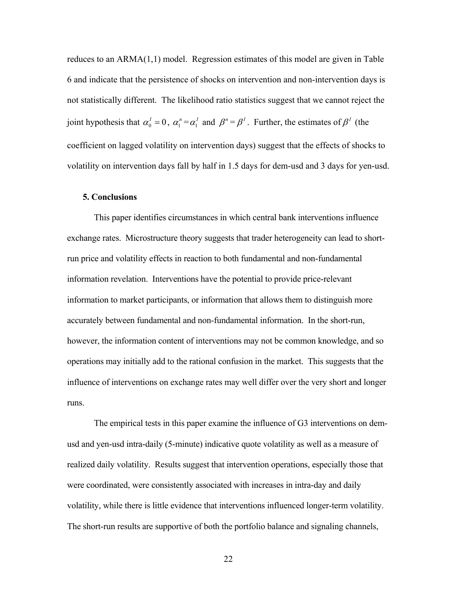reduces to an ARMA(1,1) model. Regression estimates of this model are given in Table 6 and indicate that the persistence of shocks on intervention and non-intervention days is not statistically different. The likelihood ratio statistics suggest that we cannot reject the joint hypothesis that  $\alpha_0^I = 0$ ,  $\alpha_1^n = \alpha_1^I$  and  $\beta^n = \beta^I$ . Further, the estimates of  $\beta^I$  (the coefficient on lagged volatility on intervention days) suggest that the effects of shocks to volatility on intervention days fall by half in 1.5 days for dem-usd and 3 days for yen-usd.

# **5. Conclusions**

This paper identifies circumstances in which central bank interventions influence exchange rates. Microstructure theory suggests that trader heterogeneity can lead to shortrun price and volatility effects in reaction to both fundamental and non-fundamental information revelation. Interventions have the potential to provide price-relevant information to market participants, or information that allows them to distinguish more accurately between fundamental and non-fundamental information. In the short-run, however, the information content of interventions may not be common knowledge, and so operations may initially add to the rational confusion in the market. This suggests that the influence of interventions on exchange rates may well differ over the very short and longer runs.

The empirical tests in this paper examine the influence of G3 interventions on demusd and yen-usd intra-daily (5-minute) indicative quote volatility as well as a measure of realized daily volatility. Results suggest that intervention operations, especially those that were coordinated, were consistently associated with increases in intra-day and daily volatility, while there is little evidence that interventions influenced longer-term volatility. The short-run results are supportive of both the portfolio balance and signaling channels,

22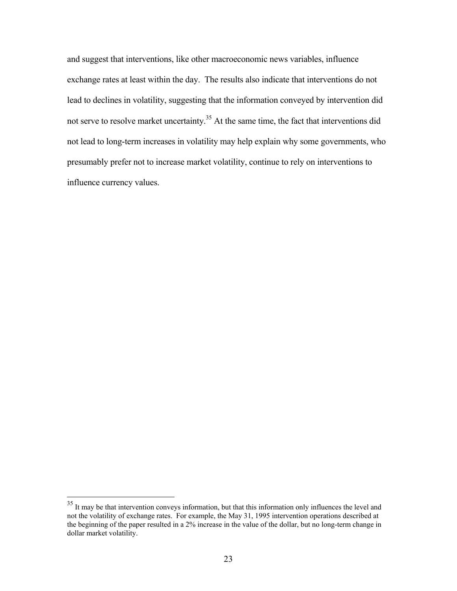and suggest that interventions, like other macroeconomic news variables, influence exchange rates at least within the day. The results also indicate that interventions do not lead to declines in volatility, suggesting that the information conveyed by intervention did not serve to resolve market uncertainty.<sup>35</sup> At the same time, the fact that interventions did not lead to long-term increases in volatility may help explain why some governments, who presumably prefer not to increase market volatility, continue to rely on interventions to influence currency values.

<span id="page-23-0"></span><sup>&</sup>lt;sup>35</sup> It may be that intervention conveys information, but that this information only influences the level and not the volatility of exchange rates. For example, the May 31, 1995 intervention operations described at the beginning of the paper resulted in a 2% increase in the value of the dollar, but no long-term change in dollar market volatility.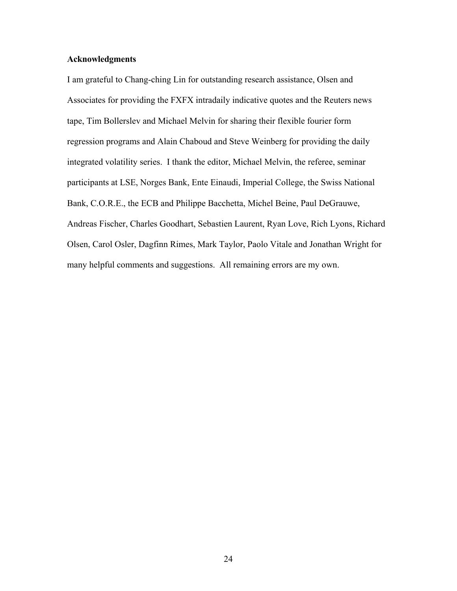# **Acknowledgments**

I am grateful to Chang-ching Lin for outstanding research assistance, Olsen and Associates for providing the FXFX intradaily indicative quotes and the Reuters news tape, Tim Bollerslev and Michael Melvin for sharing their flexible fourier form regression programs and Alain Chaboud and Steve Weinberg for providing the daily integrated volatility series. I thank the editor, Michael Melvin, the referee, seminar participants at LSE, Norges Bank, Ente Einaudi, Imperial College, the Swiss National Bank, C.O.R.E., the ECB and Philippe Bacchetta, Michel Beine, Paul DeGrauwe, Andreas Fischer, Charles Goodhart, Sebastien Laurent, Ryan Love, Rich Lyons, Richard Olsen, Carol Osler, Dagfinn Rimes, Mark Taylor, Paolo Vitale and Jonathan Wright for many helpful comments and suggestions. All remaining errors are my own.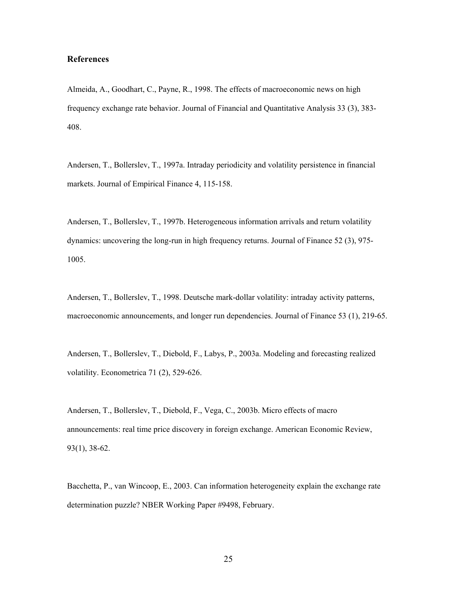## **References**

Almeida, A., Goodhart, C., Payne, R., 1998. The effects of macroeconomic news on high frequency exchange rate behavior. Journal of Financial and Quantitative Analysis 33 (3), 383- 408.

Andersen, T., Bollerslev, T., 1997a. Intraday periodicity and volatility persistence in financial markets. Journal of Empirical Finance 4, 115-158.

Andersen, T., Bollerslev, T., 1997b. Heterogeneous information arrivals and return volatility dynamics: uncovering the long-run in high frequency returns. Journal of Finance 52 (3), 975- 1005.

Andersen, T., Bollerslev, T., 1998. Deutsche mark-dollar volatility: intraday activity patterns, macroeconomic announcements, and longer run dependencies. Journal of Finance 53 (1), 219-65.

Andersen, T., Bollerslev, T., Diebold, F., Labys, P., 2003a. Modeling and forecasting realized volatility. Econometrica 71 (2), 529-626.

Andersen, T., Bollerslev, T., Diebold, F., Vega, C., 2003b. Micro effects of macro announcements: real time price discovery in foreign exchange. American Economic Review, 93(1), 38-62.

Bacchetta, P., van Wincoop, E., 2003. Can information heterogeneity explain the exchange rate determination puzzle? NBER Working Paper #9498, February.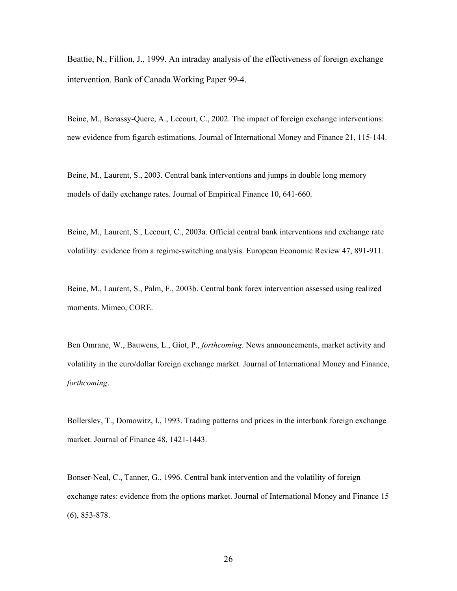Beattie, N., Fillion, J., 1999. An intraday analysis of the effectiveness of foreign exchange intervention. Bank of Canada Working Paper 99-4.

Beine, M., Benassy-Quere, A., Lecourt, C., 2002. The impact of foreign exchange interventions: new evidence from figarch estimations. Journal of International Money and Finance 21, 115-144.

Beine, M., Laurent, S., 2003. Central bank interventions and jumps in double long memory models of daily exchange rates. Journal of Empirical Finance 10, 641-660.

Beine, M., Laurent, S., Lecourt, C., 2003a. Official central bank interventions and exchange rate volatility: evidence from a regime-switching analysis. European Economic Review 47, 891-911.

Beine, M., Laurent, S., Palm, F., 2003b. Central bank forex intervention assessed using realized moments. Mimeo, CORE.

Ben Omrane, W., Bauwens, L., Giot, P., *forthcoming*. News announcements, market activity and volatility in the euro/dollar foreign exchange market. Journal of International Money and Finance, *forthcoming*.

Bollerslev, T., Domowitz, I., 1993. Trading patterns and prices in the interbank foreign exchange market. Journal of Finance 48, 1421-1443.

Bonser-Neal, C., Tanner, G., 1996. Central bank intervention and the volatility of foreign exchange rates: evidence from the options market. Journal of International Money and Finance 15 (6), 853-878.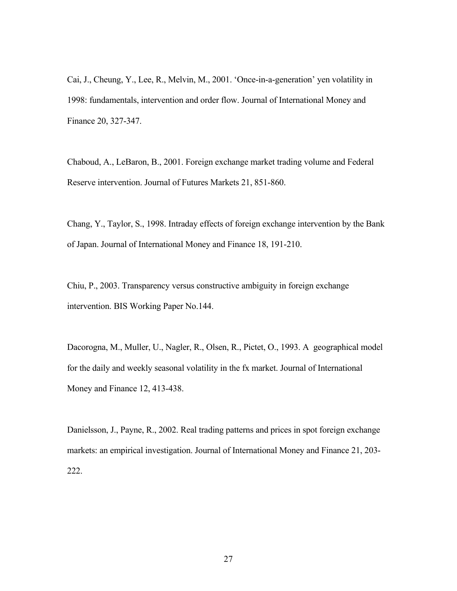Cai, J., Cheung, Y., Lee, R., Melvin, M., 2001. 'Once-in-a-generation' yen volatility in 1998: fundamentals, intervention and order flow. Journal of International Money and Finance 20, 327-347.

Chaboud, A., LeBaron, B., 2001. Foreign exchange market trading volume and Federal Reserve intervention. Journal of Futures Markets 21, 851-860.

Chang, Y., Taylor, S., 1998. Intraday effects of foreign exchange intervention by the Bank of Japan. Journal of International Money and Finance 18, 191-210.

Chiu, P., 2003. Transparency versus constructive ambiguity in foreign exchange intervention. BIS Working Paper No.144.

Dacorogna, M., Muller, U., Nagler, R., Olsen, R., Pictet, O., 1993. A geographical model for the daily and weekly seasonal volatility in the fx market. Journal of International Money and Finance 12, 413-438.

Danielsson, J., Payne, R., 2002. Real trading patterns and prices in spot foreign exchange markets: an empirical investigation. Journal of International Money and Finance 21, 203- 222.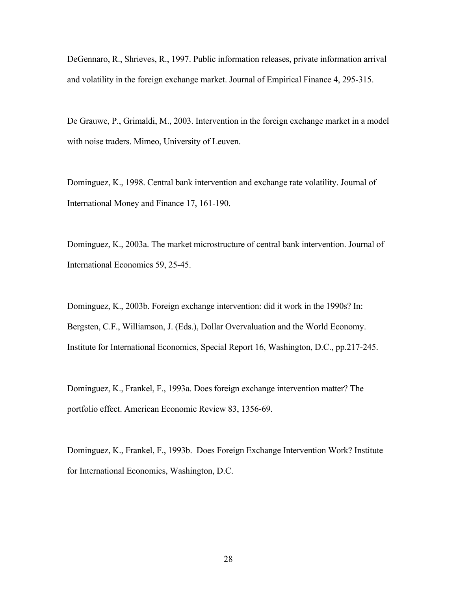DeGennaro, R., Shrieves, R., 1997. Public information releases, private information arrival and volatility in the foreign exchange market. Journal of Empirical Finance 4, 295-315.

De Grauwe, P., Grimaldi, M., 2003. Intervention in the foreign exchange market in a model with noise traders. Mimeo, University of Leuven.

Dominguez, K., 1998. Central bank intervention and exchange rate volatility. Journal of International Money and Finance 17, 161-190.

Dominguez, K., 2003a. The market microstructure of central bank intervention. Journal of International Economics 59, 25-45.

Dominguez, K., 2003b. Foreign exchange intervention: did it work in the 1990s? In: Bergsten, C.F., Williamson, J. (Eds.), Dollar Overvaluation and the World Economy. Institute for International Economics, Special Report 16, Washington, D.C., pp.217-245.

Dominguez, K., Frankel, F., 1993a. Does foreign exchange intervention matter? The portfolio effect. American Economic Review 83, 1356-69.

Dominguez, K., Frankel, F., 1993b. Does Foreign Exchange Intervention Work? Institute for International Economics, Washington, D.C.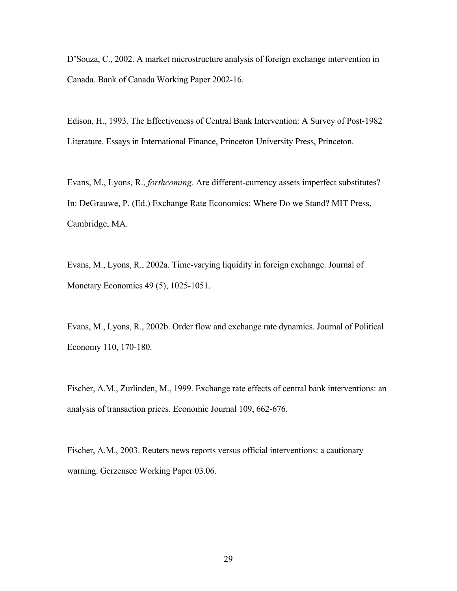D'Souza, C., 2002. A market microstructure analysis of foreign exchange intervention in Canada. Bank of Canada Working Paper 2002-16.

Edison, H., 1993. The Effectiveness of Central Bank Intervention: A Survey of Post-1982 Literature. Essays in International Finance, Princeton University Press, Princeton.

Evans, M., Lyons, R., *forthcoming.* Are different-currency assets imperfect substitutes? In: DeGrauwe, P. (Ed.) Exchange Rate Economics: Where Do we Stand? MIT Press, Cambridge, MA.

Evans, M., Lyons, R., 2002a. Time-varying liquidity in foreign exchange. Journal of Monetary Economics 49 (5), 1025-1051.

Evans, M., Lyons, R., 2002b. Order flow and exchange rate dynamics. Journal of Political Economy 110, 170-180.

Fischer, A.M., Zurlinden, M., 1999. Exchange rate effects of central bank interventions: an analysis of transaction prices. Economic Journal 109, 662-676.

Fischer, A.M., 2003. Reuters news reports versus official interventions: a cautionary warning. Gerzensee Working Paper 03.06.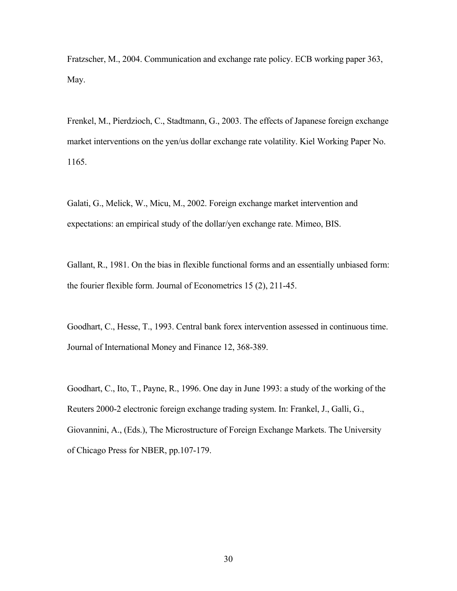Fratzscher, M., 2004. Communication and exchange rate policy. ECB working paper 363, May.

Frenkel, M., Pierdzioch, C., Stadtmann, G., 2003. The effects of Japanese foreign exchange market interventions on the yen/us dollar exchange rate volatility. Kiel Working Paper No. 1165.

Galati, G., Melick, W., Micu, M., 2002. Foreign exchange market intervention and expectations: an empirical study of the dollar/yen exchange rate. Mimeo, BIS.

Gallant, R., 1981. On the bias in flexible functional forms and an essentially unbiased form: the fourier flexible form. Journal of Econometrics 15 (2), 211-45.

Goodhart, C., Hesse, T., 1993. Central bank forex intervention assessed in continuous time. Journal of International Money and Finance 12, 368-389.

Goodhart, C., Ito, T., Payne, R., 1996. One day in June 1993: a study of the working of the Reuters 2000-2 electronic foreign exchange trading system. In: Frankel, J., Galli, G., Giovannini, A., (Eds.), The Microstructure of Foreign Exchange Markets. The University of Chicago Press for NBER, pp.107-179.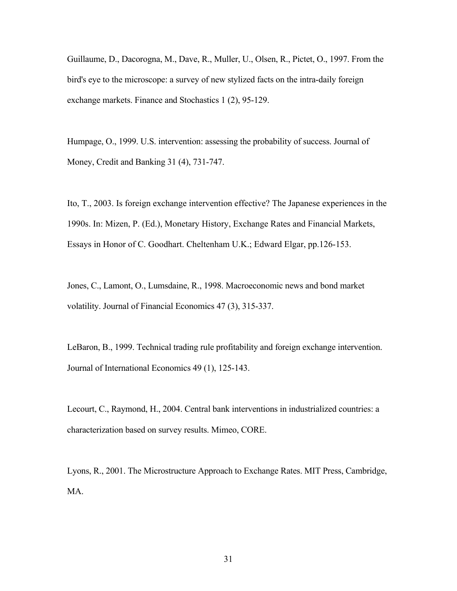Guillaume, D., Dacorogna, M., Dave, R., Muller, U., Olsen, R., Pictet, O., 1997. From the bird's eye to the microscope: a survey of new stylized facts on the intra-daily foreign exchange markets. Finance and Stochastics 1 (2), 95-129.

Humpage, O., 1999. U.S. intervention: assessing the probability of success. Journal of Money, Credit and Banking 31 (4), 731-747.

Ito, T., 2003. Is foreign exchange intervention effective? The Japanese experiences in the 1990s. In: Mizen, P. (Ed.), Monetary History, Exchange Rates and Financial Markets, Essays in Honor of C. Goodhart. Cheltenham U.K.; Edward Elgar, pp.126-153.

Jones, C., Lamont, O., Lumsdaine, R., 1998. Macroeconomic news and bond market volatility. Journal of Financial Economics 47 (3), 315-337.

LeBaron, B., 1999. Technical trading rule profitability and foreign exchange intervention. Journal of International Economics 49 (1), 125-143.

Lecourt, C., Raymond, H., 2004. Central bank interventions in industrialized countries: a characterization based on survey results. Mimeo, CORE.

Lyons, R., 2001. The Microstructure Approach to Exchange Rates. MIT Press, Cambridge, MA.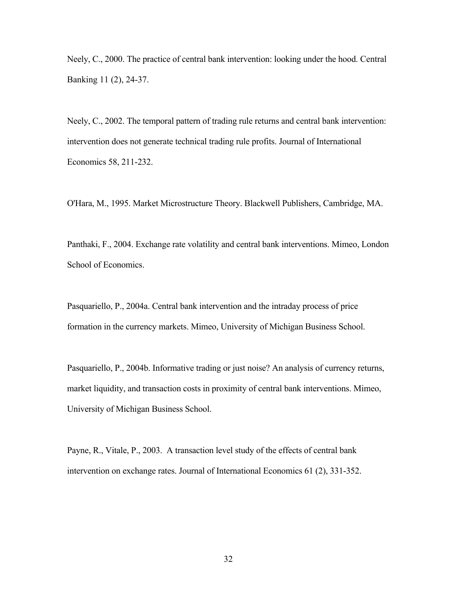Neely, C., 2000. The practice of central bank intervention: looking under the hood. Central Banking 11 (2), 24-37.

Neely, C., 2002. The temporal pattern of trading rule returns and central bank intervention: intervention does not generate technical trading rule profits. Journal of International Economics 58, 211-232.

O'Hara, M., 1995. Market Microstructure Theory. Blackwell Publishers, Cambridge, MA.

Panthaki, F., 2004. Exchange rate volatility and central bank interventions. Mimeo, London School of Economics.

Pasquariello, P., 2004a. Central bank intervention and the intraday process of price formation in the currency markets. Mimeo, University of Michigan Business School.

Pasquariello, P., 2004b. Informative trading or just noise? An analysis of currency returns, market liquidity, and transaction costs in proximity of central bank interventions. Mimeo, University of Michigan Business School.

Payne, R., Vitale, P., 2003. A transaction level study of the effects of central bank intervention on exchange rates. Journal of International Economics 61 (2), 331-352.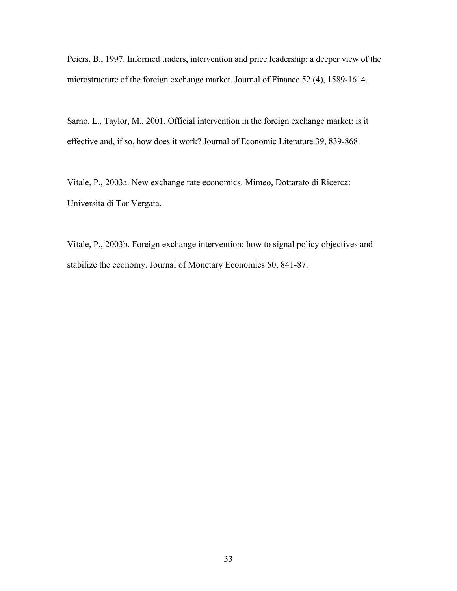Peiers, B., 1997. Informed traders, intervention and price leadership: a deeper view of the microstructure of the foreign exchange market. Journal of Finance 52 (4), 1589-1614.

Sarno, L., Taylor, M., 2001. Official intervention in the foreign exchange market: is it effective and, if so, how does it work? Journal of Economic Literature 39, 839-868.

Vitale, P., 2003a. New exchange rate economics. Mimeo, Dottarato di Ricerca: Universita di Tor Vergata.

Vitale, P., 2003b. Foreign exchange intervention: how to signal policy objectives and stabilize the economy. Journal of Monetary Economics 50, 841-87.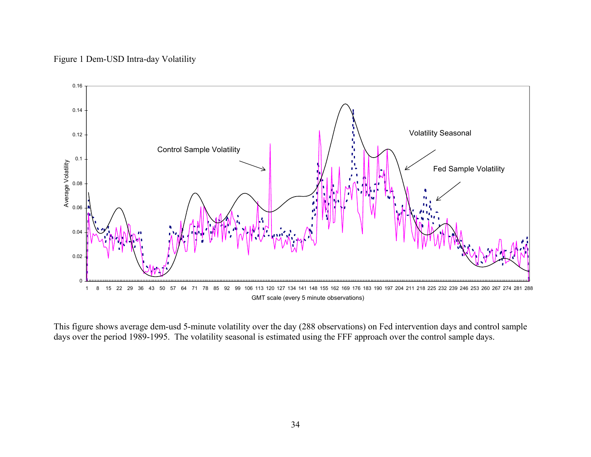# Figure 1 Dem-USD Intra-day Volatility



This figure shows average dem-usd 5-minute volatility over the day (288 observations) on Fed intervention days and control sample days over the period 1989-1995. The volatility seasonal is estimated using the FFF approach over the control sample days.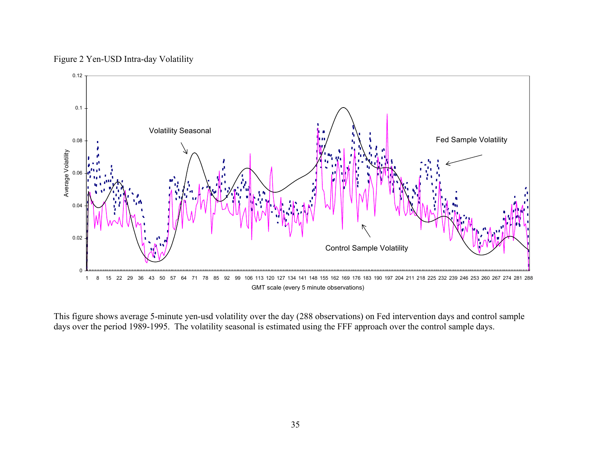Figure 2 Yen-USD Intra-day Volatility



This figure shows average 5-minute yen-usd volatility over the day (288 observations) on Fed intervention days and control sample days over the period 1989-1995. The volatility seasonal is estimated using the FFF approach over the control sample days.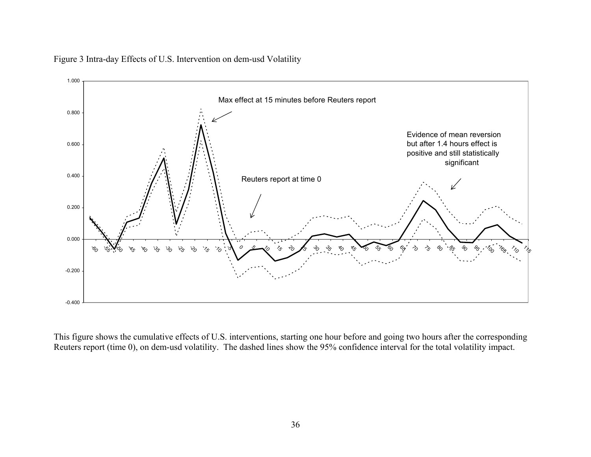

Figure 3 Intra-day Effects of U.S. Intervention on dem-usd Volatility

This figure shows the cumulative effects of U.S. interventions, starting one hour before and going two hours after the corresponding Reuters report (time 0), on dem-usd volatility. The dashed lines show the 95% confidence interval for the total volatility impact.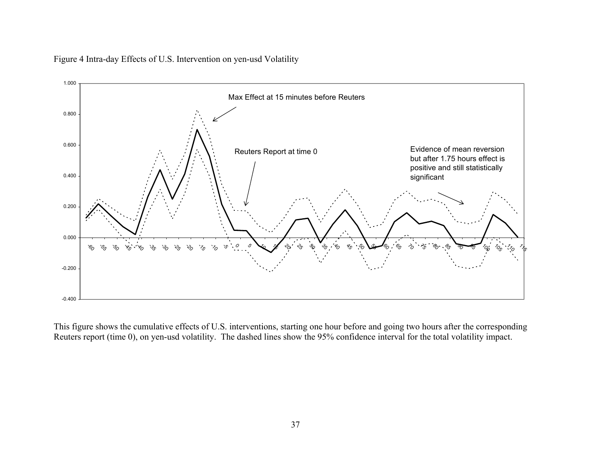



This figure shows the cumulative effects of U.S. interventions, starting one hour before and going two hours after the corresponding Reuters report (time 0), on yen-usd volatility. The dashed lines show the 95% confidence interval for the total volatility impact.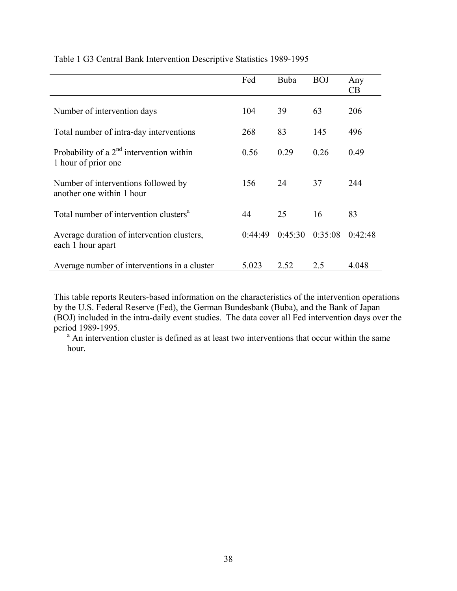|                                                                   | Fed     | Buba    | <b>BOJ</b> | Any<br>CB |
|-------------------------------------------------------------------|---------|---------|------------|-----------|
| Number of intervention days                                       | 104     | 39      | 63         | 206       |
| Total number of intra-day interventions                           | 268     | 83      | 145        | 496       |
| Probability of a $2nd$ intervention within<br>1 hour of prior one | 0.56    | 0.29    | 0.26       | 0.49      |
| Number of interventions followed by<br>another one within 1 hour  | 156     | 24      | 37         | 244       |
| Total number of intervention clusters <sup>a</sup>                | 44      | 25      | 16         | 83        |
| Average duration of intervention clusters,<br>each 1 hour apart   | 0.44.49 | 0:45:30 | 0:35:08    | 0:42:48   |
| Average number of interventions in a cluster                      | 5.023   | 2.52    | 2.5        | 4.048     |

Table 1 G3 Central Bank Intervention Descriptive Statistics 1989-1995

This table reports Reuters-based information on the characteristics of the intervention operations by the U.S. Federal Reserve (Fed), the German Bundesbank (Buba), and the Bank of Japan (BOJ) included in the intra-daily event studies. The data cover all Fed intervention days over the period 1989-1995.

<sup>a</sup> An intervention cluster is defined as at least two interventions that occur within the same hour.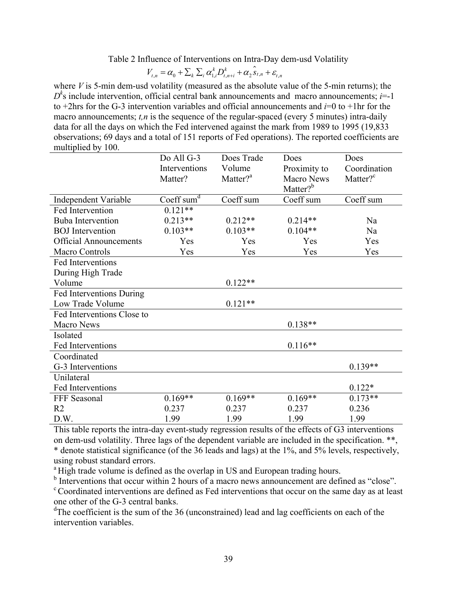Table 2 Influence of Interventions on Intra-Day dem-usd Volatility

$$
V_{t,n} = \alpha_0 + \sum_{k} \sum_{i} \alpha_{1,i}^{k} D_{t,n+i}^{k} + \alpha_2 \hat{S}_{t,n} + \varepsilon_{t,n}
$$

where *V* is 5-min dem-usd volatility (measured as the absolute value of the 5-min returns); the  $D<sup>k</sup>$ s include intervention, official central bank announcements and macro announcements; *i*=-1 to +2hrs for the G-3 intervention variables and official announcements and *i*=0 to +1hr for the macro announcements; *t,n* is the sequence of the regular-spaced (every 5 minutes) intra-daily data for all the days on which the Fed intervened against the mark from 1989 to 1995 (19,833 observations; 69 days and a total of 151 reports of Fed operations). The reported coefficients are multiplied by 100.

|                               | Do All G-3    | Does Trade           | Does                 | Does                 |
|-------------------------------|---------------|----------------------|----------------------|----------------------|
|                               | Interventions | Volume               | Proximity to         | Coordination         |
|                               | Matter?       | Matter? <sup>a</sup> | Macro News           | Matter? <sup>c</sup> |
|                               |               |                      | Matter? <sup>b</sup> |                      |
| <b>Independent Variable</b>   | Coeff sum $d$ | Coeff sum            | Coeff sum            | Coeff sum            |
| Fed Intervention              | $0.121**$     |                      |                      |                      |
| <b>Buba Intervention</b>      | $0.213**$     | $0.212**$            | $0.214**$            | Na                   |
| <b>BOJ</b> Intervention       | $0.103**$     | $0.103**$            | $0.104**$            | Na                   |
| <b>Official Announcements</b> | Yes           | Yes                  | Yes                  | Yes                  |
| <b>Macro Controls</b>         | Yes           | Yes                  | Yes                  | Yes                  |
| Fed Interventions             |               |                      |                      |                      |
| During High Trade             |               |                      |                      |                      |
| Volume                        |               | $0.122**$            |                      |                      |
| Fed Interventions During      |               |                      |                      |                      |
| Low Trade Volume              |               | $0.121**$            |                      |                      |
| Fed Interventions Close to    |               |                      |                      |                      |
| <b>Macro News</b>             |               |                      | $0.138**$            |                      |
| Isolated                      |               |                      |                      |                      |
| Fed Interventions             |               |                      | $0.116**$            |                      |
| Coordinated                   |               |                      |                      |                      |
| G-3 Interventions             |               |                      |                      | $0.139**$            |
| Unilateral                    |               |                      |                      |                      |
| Fed Interventions             |               |                      |                      | $0.122*$             |
| FFF Seasonal                  | $0.169**$     | $0.169**$            | $0.169**$            | $0.173**$            |
| R <sub>2</sub>                | 0.237         | 0.237                | 0.237                | 0.236                |
| D.W.                          | 1.99          | 1.99                 | 1.99                 | 1.99                 |

This table reports the intra-day event-study regression results of the effects of G3 interventions on dem-usd volatility. Three lags of the dependent variable are included in the specification. \*\*, \* denote statistical significance (of the 36 leads and lags) at the 1%, and 5% levels, respectively, using robust standard errors.

<sup>a</sup> High trade volume is defined as the overlap in US and European trading hours.

<sup>b</sup> Interventions that occur within 2 hours of a macro news announcement are defined as "close".

 $\rm c$  Coordinated interventions are defined as Fed interventions that occur on the same day as at least one other of the G-3 central banks.

<sup>d</sup>The coefficient is the sum of the 36 (unconstrained) lead and lag coefficients on each of the intervention variables.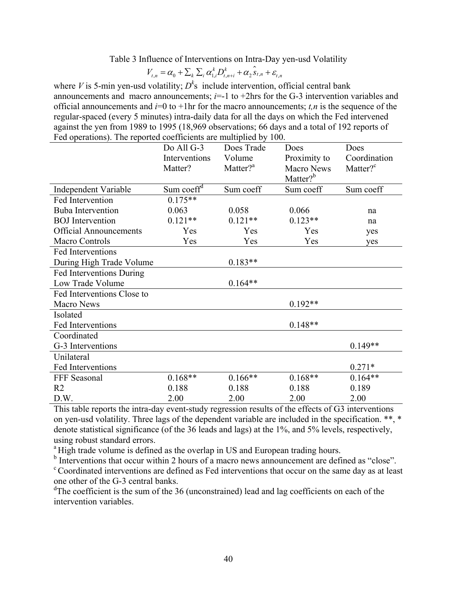Table 3 Influence of Interventions on Intra-Day yen-usd Volatility

$$
V_{t,n} = \alpha_0 + \sum_{k} \sum_{i} \alpha_{1,i}^{k} D_{t,n+i}^{k} + \alpha_2 \hat{S}_{t,n} + \varepsilon_{t,n}
$$

where *V* is 5-min yen-usd volatility;  $D^k$ s include intervention, official central bank announcements and macro announcements;  $i=1$  to  $+2$ hrs for the G-3 intervention variables and official announcements and  $i=0$  to  $+1$ hr for the macro announcements; *t,n* is the sequence of the regular-spaced (every 5 minutes) intra-daily data for all the days on which the Fed intervened against the yen from 1989 to 1995 (18,969 observations; 66 days and a total of 192 reports of Fed operations). The reported coefficients are multiplied by 100.

|                               | Do All G-3             | Does Trade           | Does                 | Does                 |
|-------------------------------|------------------------|----------------------|----------------------|----------------------|
|                               | Interventions          | Volume               | Proximity to         | Coordination         |
|                               | Matter?                | Matter? <sup>a</sup> | <b>Macro News</b>    | Matter? <sup>c</sup> |
|                               |                        |                      | Matter? <sup>b</sup> |                      |
| Independent Variable          | Sum coeff <sup>d</sup> | Sum coeff            | Sum coeff            | Sum coeff            |
| Fed Intervention              | $0.175**$              |                      |                      |                      |
| <b>Buba</b> Intervention      | 0.063                  | 0.058                | 0.066                | na                   |
| <b>BOJ</b> Intervention       | $0.121**$              | $0.121**$            | $0.123**$            | na                   |
| <b>Official Announcements</b> | Yes                    | Yes                  | Yes                  | yes                  |
| <b>Macro Controls</b>         | Yes                    | Yes                  | Yes                  | yes                  |
| Fed Interventions             |                        |                      |                      |                      |
| During High Trade Volume      |                        | $0.183**$            |                      |                      |
| Fed Interventions During      |                        |                      |                      |                      |
| Low Trade Volume              |                        | $0.164**$            |                      |                      |
| Fed Interventions Close to    |                        |                      |                      |                      |
| Macro News                    |                        |                      | $0.192**$            |                      |
| Isolated                      |                        |                      |                      |                      |
| Fed Interventions             |                        |                      | $0.148**$            |                      |
| Coordinated                   |                        |                      |                      |                      |
| G-3 Interventions             |                        |                      |                      | $0.149**$            |
| Unilateral                    |                        |                      |                      |                      |
| Fed Interventions             |                        |                      |                      | $0.271*$             |
| FFF Seasonal                  | $0.168**$              | $0.166**$            | $0.168**$            | $0.164**$            |
| R <sub>2</sub>                | 0.188                  | 0.188                | 0.188                | 0.189                |
| D.W.                          | 2.00                   | 2.00                 | 2.00                 | 2.00                 |

This table reports the intra-day event-study regression results of the effects of G3 interventions on yen-usd volatility. Three lags of the dependent variable are included in the specification. \*\*, \* denote statistical significance (of the 36 leads and lags) at the 1%, and 5% levels, respectively, using robust standard errors.

<sup>a</sup> High trade volume is defined as the overlap in US and European trading hours.

<sup>b</sup> Interventions that occur within 2 hours of a macro news announcement are defined as "close".

 $C$  Coordinated interventions are defined as Fed interventions that occur on the same day as at least one other of the G-3 central banks.

<sup>d</sup>The coefficient is the sum of the 36 (unconstrained) lead and lag coefficients on each of the intervention variables.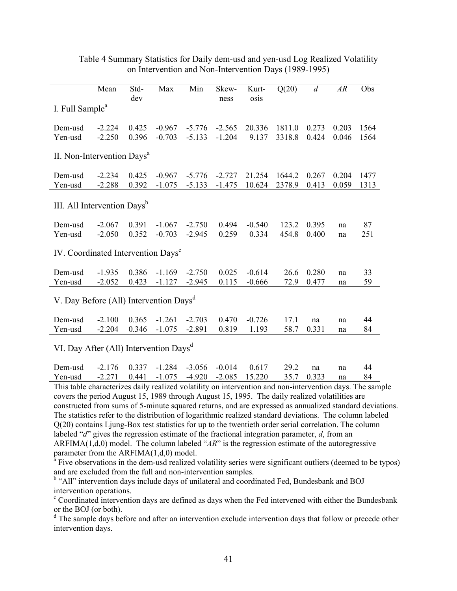|                                                    | Mean     | Std-<br>dev | Max      | Min      | Skew-<br>ness | Kurt-<br>osis | Q(20)  | $\overline{d}$ | AR    | Obs  |
|----------------------------------------------------|----------|-------------|----------|----------|---------------|---------------|--------|----------------|-------|------|
| I. Full Sample <sup>a</sup>                        |          |             |          |          |               |               |        |                |       |      |
| Dem-usd                                            | $-2.224$ | 0.425       | $-0.967$ | $-5.776$ | $-2.565$      | 20.336        | 1811.0 | 0.273          | 0.203 | 1564 |
| Yen-usd                                            | $-2.250$ | 0.396       | $-0.703$ | $-5.133$ | $-1.204$      | 9.137         | 3318.8 | 0.424          | 0.046 | 1564 |
| II. Non-Intervention Days <sup>a</sup>             |          |             |          |          |               |               |        |                |       |      |
| Dem-usd                                            | $-2.234$ | 0.425       | $-0.967$ | $-5.776$ | $-2.727$      | 21.254        | 1644.2 | 0.267          | 0.204 | 1477 |
| Yen-usd                                            | $-2.288$ | 0.392       | $-1.075$ | $-5.133$ | $-1.475$      | 10.624        | 2378.9 | 0.413          | 0.059 | 1313 |
| III. All Intervention Days <sup>b</sup>            |          |             |          |          |               |               |        |                |       |      |
| Dem-usd                                            | $-2.067$ | 0.391       | $-1.067$ | $-2.750$ | 0.494         | $-0.540$      | 123.2  | 0.395          | na    | 87   |
| Yen-usd                                            | $-2.050$ | 0.352       | $-0.703$ | $-2.945$ | 0.259         | 0.334         | 454.8  | 0.400          | na    | 251  |
| IV. Coordinated Intervention Days <sup>c</sup>     |          |             |          |          |               |               |        |                |       |      |
| Dem-usd                                            | $-1.935$ | 0.386       | $-1.169$ | $-2.750$ | 0.025         | $-0.614$      | 26.6   | 0.280          | na    | 33   |
| Yen-usd                                            | $-2.052$ | 0.423       | $-1.127$ | $-2.945$ | 0.115         | $-0.666$      | 72.9   | 0.477          | na    | 59   |
| V. Day Before (All) Intervention Days <sup>d</sup> |          |             |          |          |               |               |        |                |       |      |
| Dem-usd                                            | $-2.100$ | 0.365       | $-1.261$ | $-2.703$ | 0.470         | $-0.726$      | 17.1   | na             | na    | 44   |
| Yen-usd                                            | $-2.204$ | 0.346       | $-1.075$ | $-2.891$ | 0.819         | 1.193         | 58.7   | 0.331          | na    | 84   |
| VI. Day After (All) Intervention Days <sup>d</sup> |          |             |          |          |               |               |        |                |       |      |

Table 4 Summary Statistics for Daily dem-usd and yen-usd Log Realized Volatility on Intervention and Non-Intervention Days (1989-1995)

Yen-usd -2.271 0.441 -1.075 -4.920 -2.085 15.220 35.7 0.323 na 84 This table characterizes daily realized volatility on intervention and non-intervention days. The sample covers the period August 15, 1989 through August 15, 1995. The daily realized volatilities are constructed from sums of 5-minute squared returns, and are expressed as annualized standard deviations. The statistics refer to the distribution of logarithmic realized standard deviations. The column labeled

Dem-usd -2.176 0.337 -1.284 -3.056 -0.014 0.617 29.2 na na 44

Q(20) contains Ljung-Box test statistics for up to the twentieth order serial correlation. The column labeled "*d*" gives the regression estimate of the fractional integration parameter, *d*, from an ARFIMA(1,d,0) model. The column labeled "*AR*" is the regression estimate of the autoregressive parameter from the  $ARFIMA(1,d,0)$  model.

 $^{\overline{a}}$  Five observations in the dem-usd realized volatility series were significant outliers (deemed to be typos) and are excluded from the full and non-intervention samples.

<sup>b</sup> "All" intervention days include days of unilateral and coordinated Fed, Bundesbank and BOJ intervention operations.

<sup>c</sup> Coordinated intervention days are defined as days when the Fed intervened with either the Bundesbank or the BOJ (or both).

<sup>d</sup> The sample days before and after an intervention exclude intervention days that follow or precede other intervention days.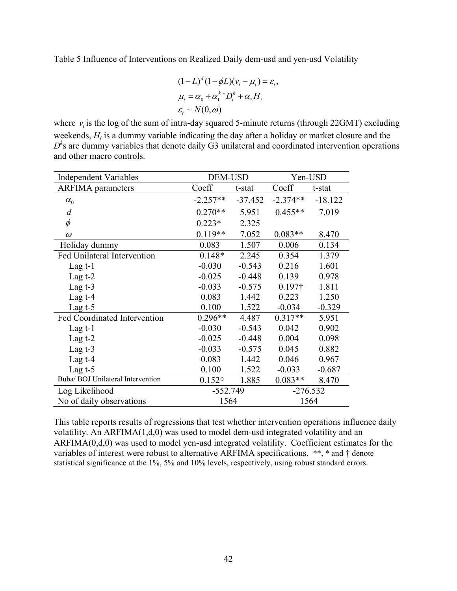Table 5 Influence of Interventions on Realized Daily dem-usd and yen-usd Volatility

$$
(1 - L)^{d} (1 - \phi L)(v_t - \mu_t) = \varepsilon_t,
$$
  
\n
$$
\mu_t = \alpha_0 + \alpha_1^k D_t^k + \alpha_2 H_t
$$
  
\n
$$
\varepsilon_t \sim N(0, \omega)
$$

where  $v_t$  is the log of the sum of intra-day squared 5-minute returns (through 22GMT) excluding weekends,  $H_t$  is a dummy variable indicating the day after a holiday or market closure and the  $D<sup>k</sup>$ s are dummy variables that denote daily  $\overrightarrow{G}$ 3 unilateral and coordinated intervention operations and other macro controls.

| <b>Independent Variables</b>       | <b>DEM-USD</b> |           | Yen-USD        |           |  |
|------------------------------------|----------------|-----------|----------------|-----------|--|
| <b>ARFIMA</b> parameters           | Coeff          | t-stat    | Coeff          | t-stat    |  |
| $\alpha_{\scriptscriptstyle 0}^{}$ | $-2.257**$     | $-37.452$ | $-2.374**$     | $-18.122$ |  |
| $\overline{d}$                     | $0.270**$      | 5.951     | $0.455**$      | 7.019     |  |
| $\phi$                             | $0.223*$       | 2.325     |                |           |  |
| $\omega$                           | $0.119**$      | 7.052     | $0.083**$      | 8.470     |  |
| Holiday dummy                      | 0.083          | 1.507     | 0.006          | 0.134     |  |
| Fed Unilateral Intervention        | $0.148*$       | 2.245     | 0.354          | 1.379     |  |
| Lag $t-1$                          | $-0.030$       | $-0.543$  | 0.216          | 1.601     |  |
| Lag $t-2$                          | $-0.025$       | $-0.448$  | 0.139          | 0.978     |  |
| Lag $t-3$                          | $-0.033$       | $-0.575$  | $0.197\dagger$ | 1.811     |  |
| Lag $t-4$                          | 0.083          | 1.442     | 0.223          | 1.250     |  |
| Lag $t-5$                          | 0.100          | 1.522     | $-0.034$       | $-0.329$  |  |
| Fed Coordinated Intervention       | $0.296**$      | 4.487     | $0.317**$      | 5.951     |  |
| Lag $t-1$                          | $-0.030$       | $-0.543$  | 0.042          | 0.902     |  |
| Lag $t-2$                          | $-0.025$       | $-0.448$  | 0.004          | 0.098     |  |
| Lag $t-3$                          | $-0.033$       | $-0.575$  | 0.045          | 0.882     |  |
| Lag $t-4$                          | 0.083          | 1.442     | 0.046          | 0.967     |  |
| Lag $t-5$                          | 0.100          | 1.522     | $-0.033$       | $-0.687$  |  |
| Buba/ BOJ Unilateral Intervention  | $0.152\dagger$ | 1.885     | $0.083**$      | 8.470     |  |
| Log Likelihood                     | $-552.749$     |           | $-276.532$     |           |  |
| No of daily observations           | 1564           |           | 1564           |           |  |

This table reports results of regressions that test whether intervention operations influence daily volatility. An ARFIMA(1,d,0) was used to model dem-usd integrated volatility and an ARFIMA(0,d,0) was used to model yen-usd integrated volatility. Coefficient estimates for the variables of interest were robust to alternative ARFIMA specifications. \*\*, \* and † denote statistical significance at the 1%, 5% and 10% levels, respectively, using robust standard errors.